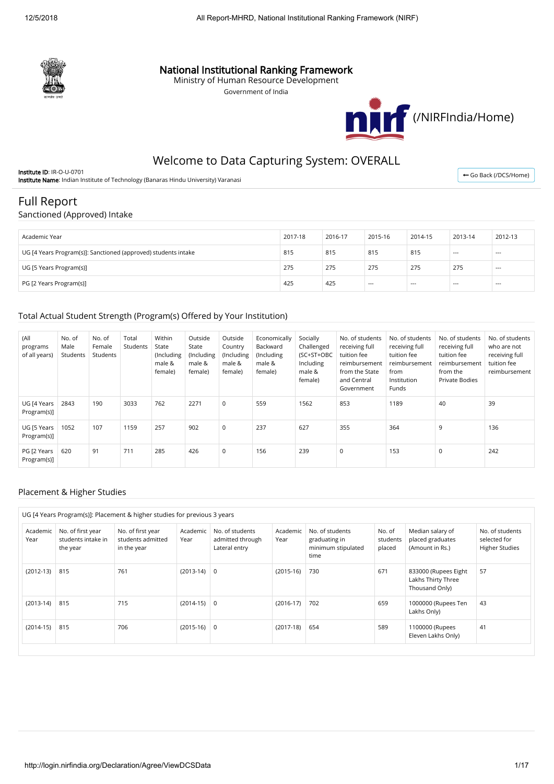

### National Institutional Ranking Framework

Ministry of Human Resource Development

Government of India



## Welcome to Data Capturing System: OVERALL

Institute ID: IR-O-U-0701 Institute Name: Indian Institute of Technology (Banaras Hindu University) Varanasi

← [Go Back \(/DCS/Home\)](http://login.nirfindia.org/DCS/Home)

# Full Report

### Sanctioned (Approved) Intake

| Academic Year                                                  | 2017-18 | 2016-17 | 2015-16 | 2014-15 | 2013-14 | 2012-13 |
|----------------------------------------------------------------|---------|---------|---------|---------|---------|---------|
| UG [4 Years Program(s)]: Sanctioned (approved) students intake | 815     | 815     | 815     | 815     | $--$    | $- - -$ |
| UG [5 Years Program(s)]                                        | 275     | 275     | 275     | 275     | 275     | $---$   |
| PG [2 Years Program(s)]                                        | 425     | 425     | $---$   | $- - -$ | $---$   | $- - -$ |

### Total Actual Student Strength (Program(s) Offered by Your Institution)

| (All<br>programs<br>of all years) | No. of<br>Male<br>Students | No. of<br>Female<br>Students | Total<br>Students | Within<br>State<br>(Including<br>male &<br>female) | Outside<br>State<br>(Including<br>male &<br>female) | Outside<br>Country<br>(Including<br>male &<br>female) | Economically<br>Backward<br>(Including<br>male &<br>female) | Socially<br>Challenged<br>(SC+ST+OBC<br>Including<br>male &<br>female) | No. of students<br>receiving full<br>tuition fee<br>reimbursement<br>from the State<br>and Central<br>Government | No. of students<br>receiving full<br>tuition fee<br>reimbursement<br>from<br>Institution<br>Funds | No. of students<br>receiving full<br>tuition fee<br>reimbursement<br>from the<br>Private Bodies | No. of students<br>who are not<br>receiving full<br>tuition fee<br>reimbursement |
|-----------------------------------|----------------------------|------------------------------|-------------------|----------------------------------------------------|-----------------------------------------------------|-------------------------------------------------------|-------------------------------------------------------------|------------------------------------------------------------------------|------------------------------------------------------------------------------------------------------------------|---------------------------------------------------------------------------------------------------|-------------------------------------------------------------------------------------------------|----------------------------------------------------------------------------------|
| UG [4 Years<br>Program(s)]        | 2843                       | 190                          | 3033              | 762                                                | 2271                                                | 0                                                     | 559                                                         | 1562                                                                   | 853                                                                                                              | 1189                                                                                              | 40                                                                                              | 39                                                                               |
| UG [5 Years<br>Program(s)]        | 1052                       | 107                          | 1159              | 257                                                | 902                                                 | 0                                                     | 237                                                         | 627                                                                    | 355                                                                                                              | 364                                                                                               | 9                                                                                               | 136                                                                              |
| PG [2 Years<br>Program(s)]        | 620                        | 91                           | 711               | 285                                                | 426                                                 | 0                                                     | 156                                                         | 239                                                                    | 0                                                                                                                | 153                                                                                               | $\Omega$                                                                                        | 242                                                                              |

#### Placement & Higher Studies

|                  | UG [4 Years Program(s)]: Placement & higher studies for previous 3 years |                                                       |                  |                                                      |                  |                                                                |                              |                                                              |                                                          |
|------------------|--------------------------------------------------------------------------|-------------------------------------------------------|------------------|------------------------------------------------------|------------------|----------------------------------------------------------------|------------------------------|--------------------------------------------------------------|----------------------------------------------------------|
| Academic<br>Year | No. of first year<br>students intake in<br>the year                      | No. of first year<br>students admitted<br>in the year | Academic<br>Year | No. of students<br>admitted through<br>Lateral entry | Academic<br>Year | No. of students<br>graduating in<br>minimum stipulated<br>time | No. of<br>students<br>placed | Median salary of<br>placed graduates<br>(Amount in Rs.)      | No. of students<br>selected for<br><b>Higher Studies</b> |
| $(2012-13)$      | 815                                                                      | 761                                                   | $(2013-14) 0$    |                                                      | $(2015-16)$      | 730                                                            | 671                          | 833000 (Rupees Eight<br>Lakhs Thirty Three<br>Thousand Only) | 57                                                       |
| $(2013-14)$      | 815                                                                      | 715                                                   | $(2014-15)$ 0    |                                                      | $(2016-17)$      | 702                                                            | 659                          | 1000000 (Rupees Ten<br>Lakhs Only)                           | 43                                                       |
| $(2014-15)$      | 815                                                                      | 706                                                   | $(2015-16)$ 0    |                                                      | $(2017-18)$      | 654                                                            | 589                          | 1100000 (Rupees<br>Eleven Lakhs Only)                        | 41                                                       |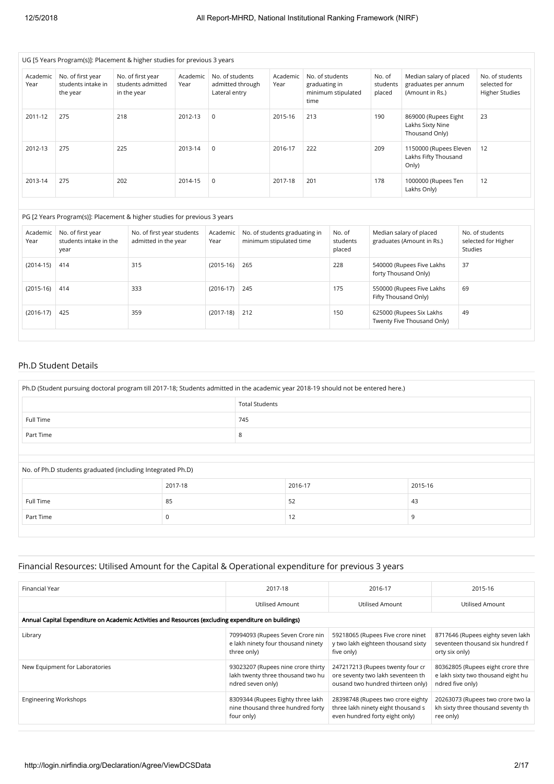|                  | UG [5 Years Program(s)]: Placement & higher studies for previous 3 years |     |                                                       |                  |                                                      |                                                                 |                                                          |                                          |                              |                              |                                                                   |         |                                                          |
|------------------|--------------------------------------------------------------------------|-----|-------------------------------------------------------|------------------|------------------------------------------------------|-----------------------------------------------------------------|----------------------------------------------------------|------------------------------------------|------------------------------|------------------------------|-------------------------------------------------------------------|---------|----------------------------------------------------------|
| Academic<br>Year | No. of first year<br>students intake in<br>the year                      |     | No. of first year<br>students admitted<br>in the year | Academic<br>Year | No. of students<br>admitted through<br>Lateral entry |                                                                 | Academic<br>Year                                         | No. of students<br>graduating in<br>time | minimum stipulated           | No. of<br>students<br>placed | Median salary of placed<br>graduates per annum<br>(Amount in Rs.) |         | No. of students<br>selected for<br><b>Higher Studies</b> |
| 2011-12          | 275                                                                      | 218 |                                                       | 2012-13          | $\mathbf 0$                                          |                                                                 | 2015-16                                                  | 213                                      |                              | 190                          | 869000 (Rupees Eight<br>Lakhs Sixty Nine<br>Thousand Only)        |         | 23                                                       |
| 2012-13          | 275                                                                      | 225 |                                                       | 2013-14          | $\mathbf 0$                                          |                                                                 | 2016-17                                                  | 222                                      |                              | 209                          | 1150000 (Rupees Eleven<br>Lakhs Fifty Thousand<br>Only)           |         | 12                                                       |
| 2013-14          | 275                                                                      | 202 |                                                       | 2014-15          | $\mathbf 0$                                          |                                                                 | 2017-18                                                  | 201                                      |                              | 178                          | 1000000 (Rupees Ten<br>Lakhs Only)                                |         | 12                                                       |
|                  | PG [2 Years Program(s)]: Placement & higher studies for previous 3 years |     |                                                       |                  |                                                      |                                                                 |                                                          |                                          |                              |                              |                                                                   |         |                                                          |
| Academic<br>Year | No. of first year<br>students intake in the<br>year                      |     | No. of first year students<br>admitted in the year    |                  | Academic<br>Year                                     |                                                                 | No. of students graduating in<br>minimum stipulated time |                                          | No. of<br>students<br>placed |                              | Median salary of placed<br>graduates (Amount in Rs.)              | Studies | No. of students<br>selected for Higher                   |
| $(2014-15)$      | 414                                                                      |     | 315                                                   |                  | $(2015-16)$                                          | 265<br>228<br>540000 (Rupees Five Lakhs<br>forty Thousand Only) |                                                          |                                          | 37                           |                              |                                                                   |         |                                                          |
| $(2015-16)$      | 414                                                                      |     | 333                                                   |                  | $(2016-17)$                                          | 245                                                             |                                                          |                                          | 175                          | Fifty Thousand Only)         | 550000 (Rupees Five Lakhs                                         | 69      |                                                          |
| $(2016-17)$      | 425                                                                      |     | 359                                                   |                  | $(2017-18)$                                          | 212                                                             |                                                          |                                          | 150                          |                              | 625000 (Rupees Six Lakhs<br>Twenty Five Thousand Only)            | 49      |                                                          |
|                  |                                                                          |     |                                                       |                  |                                                      |                                                                 |                                                          |                                          |                              |                              |                                                                   |         |                                                          |

### Ph.D Student Details

| Ph.D (Student pursuing doctoral program till 2017-18; Students admitted in the academic year 2018-19 should not be entered here.) |         |                       |         |         |  |  |  |
|-----------------------------------------------------------------------------------------------------------------------------------|---------|-----------------------|---------|---------|--|--|--|
|                                                                                                                                   |         | <b>Total Students</b> |         |         |  |  |  |
| Full Time<br>745                                                                                                                  |         |                       |         |         |  |  |  |
| Part Time                                                                                                                         | 8       |                       |         |         |  |  |  |
|                                                                                                                                   |         |                       |         |         |  |  |  |
| No. of Ph.D students graduated (including Integrated Ph.D)                                                                        |         |                       |         |         |  |  |  |
|                                                                                                                                   | 2017-18 |                       | 2016-17 | 2015-16 |  |  |  |
| 43<br>52<br>Full Time<br>85                                                                                                       |         |                       |         |         |  |  |  |
| 12<br>Part Time<br>9<br>$\Omega$                                                                                                  |         |                       |         |         |  |  |  |
|                                                                                                                                   |         |                       |         |         |  |  |  |

### Financial Resources: Utilised Amount for the Capital & Operational expenditure for previous 3 years

| Financial Year                                                                                       | 2017-18                                                                                      | 2016-17                                                                                                    | 2015-16                                                                                     |  |  |  |  |
|------------------------------------------------------------------------------------------------------|----------------------------------------------------------------------------------------------|------------------------------------------------------------------------------------------------------------|---------------------------------------------------------------------------------------------|--|--|--|--|
|                                                                                                      | Utilised Amount                                                                              | Utilised Amount                                                                                            | Utilised Amount                                                                             |  |  |  |  |
| Annual Capital Expenditure on Academic Activities and Resources (excluding expenditure on buildings) |                                                                                              |                                                                                                            |                                                                                             |  |  |  |  |
| Library                                                                                              | 70994093 (Rupees Seven Crore nin<br>e lakh ninety four thousand ninety<br>three only)        | 59218065 (Rupees Five crore ninet<br>y two lakh eighteen thousand sixty<br>five only)                      | 8717646 (Rupees eighty seven lakh<br>seventeen thousand six hundred f<br>orty six only)     |  |  |  |  |
| New Equipment for Laboratories                                                                       | 93023207 (Rupees nine crore thirty<br>lakh twenty three thousand two hu<br>ndred seven only) | 247217213 (Rupees twenty four cr<br>ore seventy two lakh seventeen th<br>ousand two hundred thirteen only) | 80362805 (Rupees eight crore thre<br>e lakh sixty two thousand eight hu<br>ndred five only) |  |  |  |  |
| <b>Engineering Workshops</b>                                                                         | 8309344 (Rupees Eighty three lakh<br>nine thousand three hundred forty<br>four only)         | 28398748 (Rupees two crore eighty<br>three lakh ninety eight thousand s<br>even hundred forty eight only)  | 20263073 (Rupees two crore two la<br>kh sixty three thousand seventy th<br>ree only)        |  |  |  |  |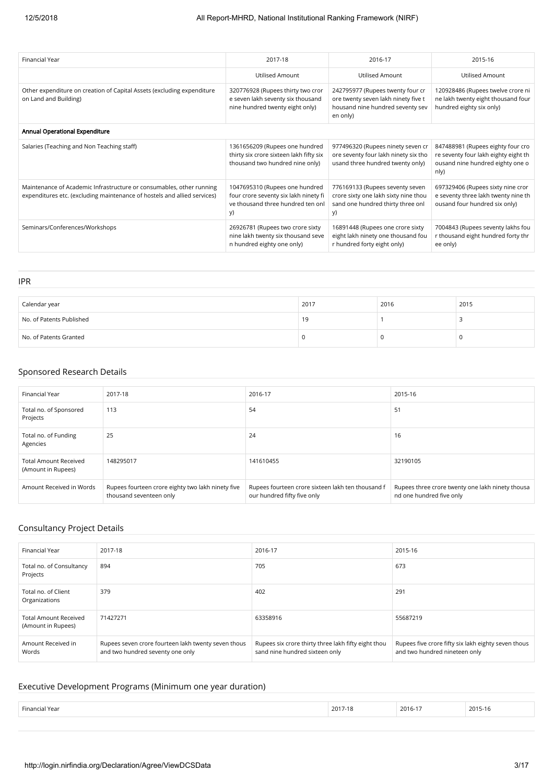| Financial Year                                                                                                                                   | 2017-18                                                                                                            | 2016-17                                                                                                                 | 2015-16                                                                                                               |
|--------------------------------------------------------------------------------------------------------------------------------------------------|--------------------------------------------------------------------------------------------------------------------|-------------------------------------------------------------------------------------------------------------------------|-----------------------------------------------------------------------------------------------------------------------|
|                                                                                                                                                  | <b>Utilised Amount</b>                                                                                             | <b>Utilised Amount</b>                                                                                                  | <b>Utilised Amount</b>                                                                                                |
| Other expenditure on creation of Capital Assets (excluding expenditure<br>on Land and Building)                                                  | 320776928 (Rupees thirty two cror<br>e seven lakh seventy six thousand<br>nine hundred twenty eight only)          | 242795977 (Rupees twenty four cr<br>ore twenty seven lakh ninety five t<br>housand nine hundred seventy sev<br>en only) | 120928486 (Rupees twelve crore ni<br>ne lakh twenty eight thousand four<br>hundred eighty six only)                   |
| Annual Operational Expenditure                                                                                                                   |                                                                                                                    |                                                                                                                         |                                                                                                                       |
| Salaries (Teaching and Non Teaching staff)                                                                                                       | 1361656209 (Rupees one hundred<br>thirty six crore sixteen lakh fifty six<br>thousand two hundred nine only)       | 977496320 (Rupees ninety seven cr<br>ore seventy four lakh ninety six tho<br>usand three hundred twenty only)           | 847488981 (Rupees eighty four cro<br>re seventy four lakh eighty eight th<br>ousand nine hundred eighty one o<br>nly) |
| Maintenance of Academic Infrastructure or consumables, other running<br>expenditures etc. (excluding maintenance of hostels and allied services) | 1047695310 (Rupees one hundred<br>four crore seventy six lakh ninety fi<br>ve thousand three hundred ten onl<br>y) | 776169133 (Rupees seventy seven<br>crore sixty one lakh sixty nine thou<br>sand one hundred thirty three onl<br>y)      | 697329406 (Rupees sixty nine cror<br>e seventy three lakh twenty nine th<br>ousand four hundred six only)             |
| Seminars/Conferences/Workshops                                                                                                                   | 26926781 (Rupees two crore sixty<br>nine lakh twenty six thousand seve<br>n hundred eighty one only)               | 16891448 (Rupees one crore sixty<br>eight lakh ninety one thousand fou<br>r hundred forty eight only)                   | 7004843 (Rupees seventy lakhs fou<br>r thousand eight hundred forty thr<br>ee only)                                   |

| Calendar year            | 2017 | 2016 | 2015 |
|--------------------------|------|------|------|
| No. of Patents Published | 19   |      |      |
| No. of Patents Granted   |      | u    | -0   |

### Sponsored Research Details

IPR

| Financial Year                                     | 2017-18                                                                      | 2016-17                                                                          | 2015-16                                                                      |
|----------------------------------------------------|------------------------------------------------------------------------------|----------------------------------------------------------------------------------|------------------------------------------------------------------------------|
| Total no. of Sponsored<br>Projects                 | 113                                                                          | 54                                                                               | 51                                                                           |
| Total no. of Funding<br>Agencies                   | 25                                                                           | 24                                                                               | 16                                                                           |
| <b>Total Amount Received</b><br>(Amount in Rupees) | 148295017                                                                    | 141610455                                                                        | 32190105                                                                     |
| Amount Received in Words                           | Rupees fourteen crore eighty two lakh ninety five<br>thousand seventeen only | Rupees fourteen crore sixteen lakh ten thousand f<br>our hundred fifty five only | Rupees three crore twenty one lakh ninety thousa<br>nd one hundred five only |

### Consultancy Project Details

| Financial Year                                     | 2017-18                                                                                 | 2016-17                                                                               | 2015-16                                                                              |
|----------------------------------------------------|-----------------------------------------------------------------------------------------|---------------------------------------------------------------------------------------|--------------------------------------------------------------------------------------|
| Total no. of Consultancy<br>Projects               | 894                                                                                     | 705                                                                                   | 673                                                                                  |
| Total no. of Client<br>Organizations               | 379                                                                                     | 402                                                                                   | 291                                                                                  |
| <b>Total Amount Received</b><br>(Amount in Rupees) | 71427271                                                                                | 63358916                                                                              | 55687219                                                                             |
| Amount Received in<br>Words                        | Rupees seven crore fourteen lakh twenty seven thous<br>and two hundred seventy one only | Rupees six crore thirty three lakh fifty eight thou<br>sand nine hundred sixteen only | Rupees five crore fifty six lakh eighty seven thous<br>and two hundred nineteen only |

### Executive Development Programs (Minimum one year duration)

| Financial Year<br>. | 201<br>10<br>ة 1-1 ' | 2016-17 | 2015-16 |
|---------------------|----------------------|---------|---------|
|---------------------|----------------------|---------|---------|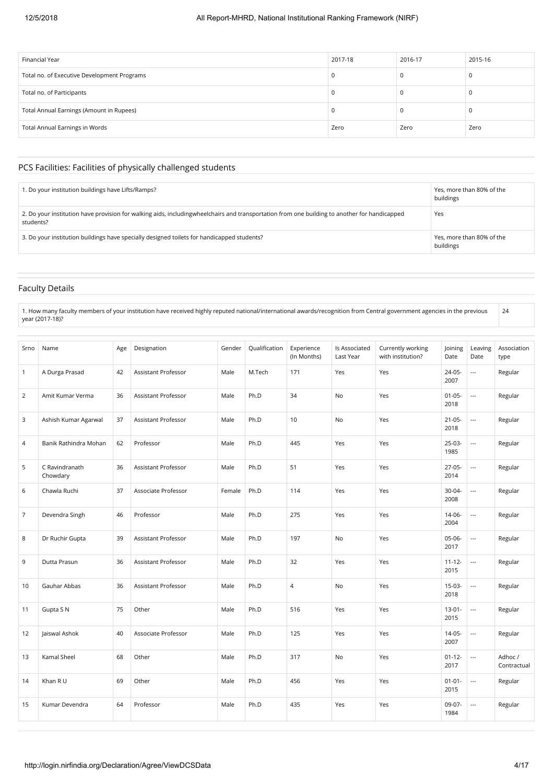| Financial Year                              | 2017-18  | 2016-17 | 2015-16 |
|---------------------------------------------|----------|---------|---------|
| Total no. of Executive Development Programs | 0        |         |         |
| Total no. of Participants                   |          |         |         |
| Total Annual Earnings (Amount in Rupees)    | $\Omega$ |         |         |
| Total Annual Earnings in Words              | Zero     | Zero    | Zero    |

#### PCS Facilities: Facilities of physically challenged students

| 1. Do your institution buildings have Lifts/Ramps?                                                                                                        | Yes, more than 80% of the<br>buildings |
|-----------------------------------------------------------------------------------------------------------------------------------------------------------|----------------------------------------|
| 2. Do your institution have provision for walking aids, includingwheelchairs and transportation from one building to another for handicapped<br>students? | Yes                                    |
| 3. Do your institution buildings have specially designed toilets for handicapped students?                                                                | Yes, more than 80% of the<br>buildings |

### Faculty Details

1. How many faculty members of your institution have received highly reputed national/international awards/recognition from Central government agencies in the previous year (2017-18)?

| Srno           | Name                       | Age | Designation                | Gender | Qualification | Experience<br>(In Months) | Is Associated<br>Last Year | Currently working<br>with institution? | Joining<br>Date     | Leaving<br>Date          | Association<br>type   |
|----------------|----------------------------|-----|----------------------------|--------|---------------|---------------------------|----------------------------|----------------------------------------|---------------------|--------------------------|-----------------------|
| $\mathbf{1}$   | A Durga Prasad             | 42  | Assistant Professor        | Male   | M.Tech        | 171                       | Yes                        | Yes                                    | $24 - 05 -$<br>2007 | ---                      | Regular               |
| $\overline{2}$ | Amit Kumar Verma           | 36  | Assistant Professor        | Male   | Ph.D          | 34                        | No                         | Yes                                    | $01 - 05 -$<br>2018 | $\overline{a}$           | Regular               |
| 3              | Ashish Kumar Agarwal       | 37  | <b>Assistant Professor</b> | Male   | Ph.D          | 10                        | No                         | Yes                                    | $21 - 05 -$<br>2018 | ---                      | Regular               |
| 4              | Banik Rathindra Mohan      | 62  | Professor                  | Male   | Ph.D          | 445                       | Yes                        | Yes                                    | $25-03-$<br>1985    | $\overline{a}$           | Regular               |
| 5              | C Ravindranath<br>Chowdary | 36  | <b>Assistant Professor</b> | Male   | Ph.D          | 51                        | Yes                        | Yes                                    | $27-05-$<br>2014    | $\overline{\phantom{a}}$ | Regular               |
| 6              | Chawla Ruchi               | 37  | Associate Professor        | Female | Ph.D          | 114                       | Yes                        | Yes                                    | 30-04-<br>2008      | ---                      | Regular               |
| $\overline{7}$ | Devendra Singh             | 46  | Professor                  | Male   | Ph.D          | 275                       | Yes                        | Yes                                    | $14 - 06 -$<br>2004 | ---                      | Regular               |
| 8              | Dr Ruchir Gupta            | 39  | <b>Assistant Professor</b> | Male   | Ph.D          | 197                       | No                         | Yes                                    | 05-06-<br>2017      | $\overline{a}$           | Regular               |
| 9              | Dutta Prasun               | 36  | <b>Assistant Professor</b> | Male   | Ph.D          | 32                        | Yes                        | Yes                                    | $11 - 12 -$<br>2015 | $\overline{a}$           | Regular               |
| 10             | Gauhar Abbas               | 36  | <b>Assistant Professor</b> | Male   | Ph.D          | $\overline{4}$            | No                         | Yes                                    | $15-03-$<br>2018    |                          | Regular               |
| 11             | Gupta S N                  | 75  | Other                      | Male   | Ph.D          | 516                       | Yes                        | Yes                                    | $13 - 01 -$<br>2015 | ---                      | Regular               |
| 12             | Jaiswal Ashok              | 40  | Associate Professor        | Male   | Ph.D          | 125                       | Yes                        | Yes                                    | $14 - 05 -$<br>2007 |                          | Regular               |
| 13             | Kamal Sheel                | 68  | Other                      | Male   | Ph.D          | 317                       | <b>No</b>                  | Yes                                    | $01 - 12 -$<br>2017 | ---                      | Adhoc/<br>Contractual |
| 14             | Khan R U                   | 69  | Other                      | Male   | Ph.D          | 456                       | Yes                        | Yes                                    | $01 - 01 -$<br>2015 | $\overline{\phantom{a}}$ | Regular               |
| 15             | Kumar Devendra             | 64  | Professor                  | Male   | Ph.D          | 435                       | Yes                        | Yes                                    | 09-07-<br>1984      | ---                      | Regular               |

24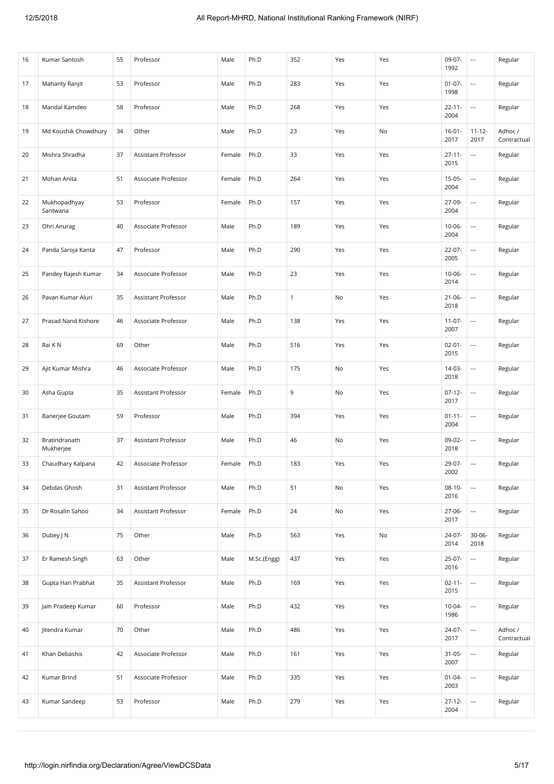| 16 | Kumar Santosh              | 55 | Professor           | Male   | Ph.D        | 352          | Yes | Yes | 09-07-<br>1992      | $\overline{\phantom{a}}$ | Regular                |
|----|----------------------------|----|---------------------|--------|-------------|--------------|-----|-----|---------------------|--------------------------|------------------------|
| 17 | Mahanty Ranjit             | 53 | Professor           | Male   | Ph.D        | 283          | Yes | Yes | $01-07-$<br>1998    | $\overline{\phantom{a}}$ | Regular                |
| 18 | Mandal Kamdeo              | 58 | Professor           | Male   | Ph.D        | 268          | Yes | Yes | $22 - 11 -$<br>2004 | $\overline{\phantom{a}}$ | Regular                |
| 19 | Md Koushik Chowdhury       | 34 | Other               | Male   | Ph.D        | 23           | Yes | No  | $16 - 01 -$<br>2017 | $11 - 12 -$<br>2017      | Adhoc /<br>Contractual |
| 20 | Mishra Shradha             | 37 | Assistant Professor | Female | Ph.D        | 33           | Yes | Yes | $27 - 11 -$<br>2015 | $\overline{\phantom{a}}$ | Regular                |
| 21 | Mohan Anita                | 51 | Associate Professor | Female | Ph.D        | 264          | Yes | Yes | $15-05-$<br>2004    | $\overline{\phantom{a}}$ | Regular                |
| 22 | Mukhopadhyay<br>Santwana   | 53 | Professor           | Female | Ph.D        | 157          | Yes | Yes | 27-09-<br>2004      | $\overline{\phantom{a}}$ | Regular                |
| 23 | Ohri Anurag                | 40 | Associate Professor | Male   | Ph.D        | 189          | Yes | Yes | $10-06-$<br>2004    | $\overline{\phantom{a}}$ | Regular                |
| 24 | Panda Saroja Kanta         | 47 | Professor           | Male   | Ph.D        | 290          | Yes | Yes | 22-07-<br>2005      | $\overline{\phantom{a}}$ | Regular                |
| 25 | Pandey Rajesh Kumar        | 34 | Associate Professor | Male   | Ph.D        | 23           | Yes | Yes | $10 - 06 -$<br>2014 | $\overline{\phantom{a}}$ | Regular                |
| 26 | Pavan Kumar Aluri          | 35 | Assistant Professor | Male   | Ph.D        | $\mathbf{1}$ | No  | Yes | $21 - 06 -$<br>2018 | $\overline{\phantom{a}}$ | Regular                |
| 27 | Prasad Nand Kishore        | 46 | Associate Professor | Male   | Ph.D        | 138          | Yes | Yes | $11-07-$<br>2007    | $\overline{\phantom{a}}$ | Regular                |
| 28 | Rai K N                    | 69 | Other               | Male   | Ph.D        | 516          | Yes | Yes | $02 - 01 -$<br>2015 | $\overline{\phantom{a}}$ | Regular                |
| 29 | Ajit Kumar Mishra          | 46 | Associate Professor | Male   | Ph.D        | 175          | No  | Yes | 14-03-<br>2018      | $\overline{\phantom{a}}$ | Regular                |
| 30 | Asha Gupta                 | 35 | Assistant Professor | Female | Ph.D        | 9            | No  | Yes | $07-12-$<br>2017    | $\overline{\phantom{a}}$ | Regular                |
| 31 | Banerjee Goutam            | 59 | Professor           | Male   | Ph.D        | 394          | Yes | Yes | $01 - 11 -$<br>2004 | $\overline{\phantom{a}}$ | Regular                |
| 32 | Bratindranath<br>Mukherjee | 37 | Assistant Professor | Male   | Ph.D        | 46           | No  | Yes | 09-02-<br>2018      | $\overline{\phantom{a}}$ | Regular                |
| 33 | Chaudhary Kalpana          | 42 | Associate Professor | Female | Ph.D        | 183          | Yes | Yes | 29-07-<br>2002      | $\overline{\phantom{a}}$ | Regular                |
| 34 | Debdas Ghosh               | 31 | Assistant Professor | Male   | Ph.D        | 51           | No  | Yes | $08-10-$<br>2016    | $\overline{\phantom{a}}$ | Regular                |
| 35 | Dr Rosalin Sahoo           | 34 | Assistant Professor | Female | Ph.D        | 24           | No  | Yes | 27-06-<br>2017      | $\overline{\phantom{a}}$ | Regular                |
| 36 | Dubey J N                  | 75 | Other               | Male   | Ph.D        | 563          | Yes | No  | 24-07-<br>2014      | $30 - 06 -$<br>2018      | Regular                |
| 37 | Er Ramesh Singh            | 63 | Other               | Male   | M.Sc.(Engg) | 437          | Yes | Yes | 25-07-<br>2016      | $\ldots$                 | Regular                |
| 38 | Gupta Hari Prabhat         | 35 | Assistant Professor | Male   | Ph.D        | 169          | Yes | Yes | $02 - 11 -$<br>2015 | $\overline{\phantom{a}}$ | Regular                |
| 39 | Jain Pradeep Kumar         | 60 | Professor           | Male   | Ph.D        | 432          | Yes | Yes | $10-04-$<br>1986    | $\overline{\phantom{a}}$ | Regular                |
| 40 | Jitendra Kumar             | 70 | Other               | Male   | Ph.D        | 486          | Yes | Yes | 24-07-<br>2017      | $\overline{\phantom{a}}$ | Adhoc /<br>Contractual |
| 41 | Khan Debashis              | 42 | Associate Professor | Male   | Ph.D        | 161          | Yes | Yes | $31 - 05 -$<br>2007 | $\overline{\phantom{a}}$ | Regular                |
| 42 | Kumar Brind                | 51 | Associate Professor | Male   | Ph.D        | 335          | Yes | Yes | $01 - 04 -$<br>2003 | $\overline{\phantom{a}}$ | Regular                |
| 43 | Kumar Sandeep              | 53 | Professor           | Male   | Ph.D        | 279          | Yes | Yes | $27 - 12 -$<br>2004 | $\overline{\phantom{a}}$ | Regular                |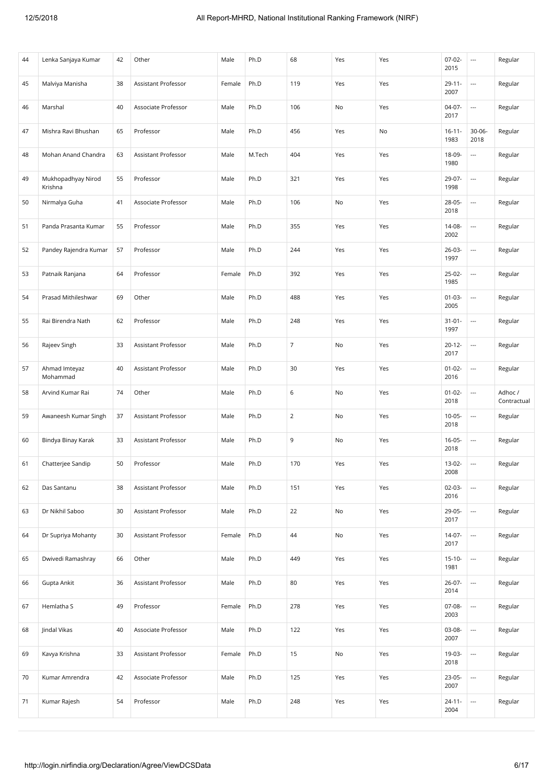| 44 | Lenka Sanjaya Kumar           | 42 | Other                      | Male   | Ph.D   | 68             | Yes | Yes | $07-02-$<br>2015    | $\hspace{0.05cm} \ldots$ | Regular                |
|----|-------------------------------|----|----------------------------|--------|--------|----------------|-----|-----|---------------------|--------------------------|------------------------|
| 45 | Malviya Manisha               | 38 | Assistant Professor        | Female | Ph.D   | 119            | Yes | Yes | $29 - 11 -$<br>2007 | $\overline{a}$           | Regular                |
| 46 | Marshal                       | 40 | Associate Professor        | Male   | Ph.D   | 106            | No  | Yes | $04-07-$<br>2017    | $\hspace{0.05cm} \ldots$ | Regular                |
| 47 | Mishra Ravi Bhushan           | 65 | Professor                  | Male   | Ph.D   | 456            | Yes | No  | $16 - 11 -$<br>1983 | $30 - 06 -$<br>2018      | Regular                |
| 48 | Mohan Anand Chandra           | 63 | <b>Assistant Professor</b> | Male   | M.Tech | 404            | Yes | Yes | 18-09-<br>1980      | $\overline{\phantom{a}}$ | Regular                |
| 49 | Mukhopadhyay Nirod<br>Krishna | 55 | Professor                  | Male   | Ph.D   | 321            | Yes | Yes | 29-07-<br>1998      | $\overline{\phantom{a}}$ | Regular                |
| 50 | Nirmalya Guha                 | 41 | Associate Professor        | Male   | Ph.D   | 106            | No  | Yes | 28-05-<br>2018      | $\hspace{0.05cm} \ldots$ | Regular                |
| 51 | Panda Prasanta Kumar          | 55 | Professor                  | Male   | Ph.D   | 355            | Yes | Yes | 14-08-<br>2002      | $\hspace{0.05cm} \ldots$ | Regular                |
| 52 | Pandey Rajendra Kumar         | 57 | Professor                  | Male   | Ph.D   | 244            | Yes | Yes | 26-03-<br>1997      | $\hspace{0.05cm} \ldots$ | Regular                |
| 53 | Patnaik Ranjana               | 64 | Professor                  | Female | Ph.D   | 392            | Yes | Yes | $25-02-$<br>1985    | $\overline{\phantom{a}}$ | Regular                |
| 54 | Prasad Mithileshwar           | 69 | Other                      | Male   | Ph.D   | 488            | Yes | Yes | $01 - 03 -$<br>2005 | ---                      | Regular                |
| 55 | Rai Birendra Nath             | 62 | Professor                  | Male   | Ph.D   | 248            | Yes | Yes | $31 - 01 -$<br>1997 | $\overline{\phantom{a}}$ | Regular                |
| 56 | Rajeev Singh                  | 33 | Assistant Professor        | Male   | Ph.D   | $\overline{7}$ | No  | Yes | $20 - 12 -$<br>2017 | $\overline{\phantom{a}}$ | Regular                |
| 57 | Ahmad Imteyaz<br>Mohammad     | 40 | Assistant Professor        | Male   | Ph.D   | 30             | Yes | Yes | $01 - 02 -$<br>2016 | $\overline{\phantom{a}}$ | Regular                |
| 58 | Arvind Kumar Rai              | 74 | Other                      | Male   | Ph.D   | 6              | No  | Yes | $01 - 02 -$<br>2018 | $\overline{\phantom{a}}$ | Adhoc /<br>Contractual |
| 59 | Awaneesh Kumar Singh          | 37 | Assistant Professor        | Male   | Ph.D   | $\overline{2}$ | No  | Yes | $10-05-$<br>2018    | $\hspace{0.05cm} \ldots$ | Regular                |
| 60 | Bindya Binay Karak            | 33 | Assistant Professor        | Male   | Ph.D   | 9              | No  | Yes | $16-05-$<br>2018    | $\hspace{0.05cm} \ldots$ | Regular                |
| 61 | Chatterjee Sandip             | 50 | Professor                  | Male   | Ph.D   | 170            | Yes | Yes | 13-02-<br>2008      | $\overline{\phantom{a}}$ | Regular                |
| 62 | Das Santanu                   | 38 | Assistant Professor        | Male   | Ph.D   | 151            | Yes | Yes | $02-03-$<br>2016    | $\overline{\phantom{a}}$ | Regular                |
| 63 | Dr Nikhil Saboo               | 30 | Assistant Professor        | Male   | Ph.D   | 22             | No  | Yes | 29-05-<br>2017      | $\overline{\phantom{a}}$ | Regular                |
| 64 | Dr Supriya Mohanty            | 30 | Assistant Professor        | Female | Ph.D   | 44             | No  | Yes | 14-07-<br>2017      |                          | Regular                |
| 65 | Dwivedi Ramashray             | 66 | Other                      | Male   | Ph.D   | 449            | Yes | Yes | $15-10-$<br>1981    | $\overline{\phantom{a}}$ | Regular                |
| 66 | Gupta Ankit                   | 36 | Assistant Professor        | Male   | Ph.D   | 80             | Yes | Yes | $26-07-$<br>2014    | $\overline{\phantom{a}}$ | Regular                |
| 67 | Hemlatha S                    | 49 | Professor                  | Female | Ph.D   | 278            | Yes | Yes | 07-08-<br>2003      | $\overline{\phantom{a}}$ | Regular                |
| 68 | Jindal Vikas                  | 40 | Associate Professor        | Male   | Ph.D   | 122            | Yes | Yes | 03-08-<br>2007      | $\overline{\phantom{a}}$ | Regular                |
| 69 | Kavya Krishna                 | 33 | Assistant Professor        | Female | Ph.D   | 15             | No  | Yes | 19-03-<br>2018      | $\overline{\phantom{a}}$ | Regular                |
| 70 | Kumar Amrendra                | 42 | Associate Professor        | Male   | Ph.D   | 125            | Yes | Yes | 23-05-<br>2007      | $\overline{\phantom{a}}$ | Regular                |
| 71 | Kumar Rajesh                  | 54 | Professor                  | Male   | Ph.D   | 248            | Yes | Yes | $24 - 11 -$<br>2004 | $\overline{\phantom{a}}$ | Regular                |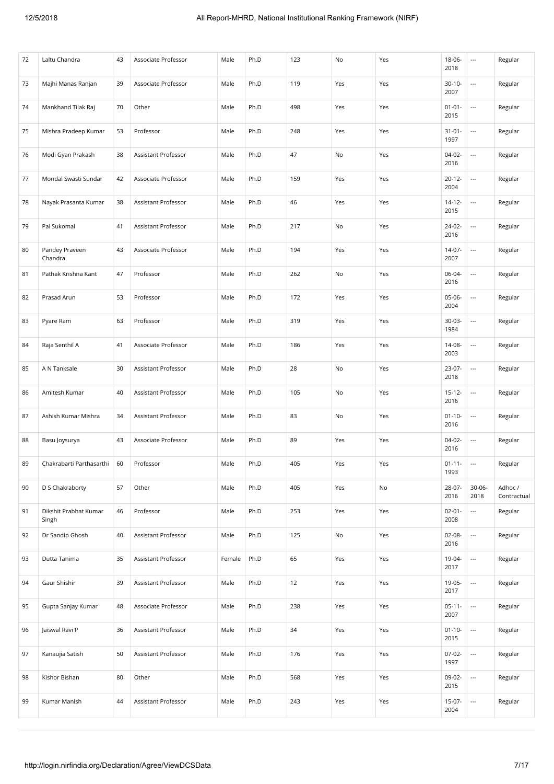| 72 | Laltu Chandra                  | 43 | Associate Professor | Male   | Ph.D | 123 | No  | Yes | $18 - 06 -$<br>2018 | $\hspace{0.05cm}\ldots$  | Regular                |
|----|--------------------------------|----|---------------------|--------|------|-----|-----|-----|---------------------|--------------------------|------------------------|
| 73 | Majhi Manas Ranjan             | 39 | Associate Professor | Male   | Ph.D | 119 | Yes | Yes | $30 - 10 -$<br>2007 | $\overline{\phantom{a}}$ | Regular                |
| 74 | Mankhand Tilak Raj             | 70 | Other               | Male   | Ph.D | 498 | Yes | Yes | $01 - 01 -$<br>2015 | $\overline{\phantom{a}}$ | Regular                |
| 75 | Mishra Pradeep Kumar           | 53 | Professor           | Male   | Ph.D | 248 | Yes | Yes | $31 - 01 -$<br>1997 |                          | Regular                |
| 76 | Modi Gyan Prakash              | 38 | Assistant Professor | Male   | Ph.D | 47  | No  | Yes | $04-02-$<br>2016    | $\overline{\phantom{a}}$ | Regular                |
| 77 | Mondal Swasti Sundar           | 42 | Associate Professor | Male   | Ph.D | 159 | Yes | Yes | $20 - 12 -$<br>2004 | $\overline{\phantom{a}}$ | Regular                |
| 78 | Nayak Prasanta Kumar           | 38 | Assistant Professor | Male   | Ph.D | 46  | Yes | Yes | $14 - 12 -$<br>2015 | $\hspace{0.05cm}\ldots$  | Regular                |
| 79 | Pal Sukomal                    | 41 | Assistant Professor | Male   | Ph.D | 217 | No  | Yes | 24-02-<br>2016      | $\hspace{0.05cm} \ldots$ | Regular                |
| 80 | Pandey Praveen<br>Chandra      | 43 | Associate Professor | Male   | Ph.D | 194 | Yes | Yes | 14-07-<br>2007      | $\hspace{0.05cm} \ldots$ | Regular                |
| 81 | Pathak Krishna Kant            | 47 | Professor           | Male   | Ph.D | 262 | No  | Yes | 06-04-<br>2016      | $\overline{\phantom{a}}$ | Regular                |
| 82 | Prasad Arun                    | 53 | Professor           | Male   | Ph.D | 172 | Yes | Yes | $05-06-$<br>2004    | $\overline{a}$           | Regular                |
| 83 | Pyare Ram                      | 63 | Professor           | Male   | Ph.D | 319 | Yes | Yes | $30-03-$<br>1984    | $\overline{\phantom{a}}$ | Regular                |
| 84 | Raja Senthil A                 | 41 | Associate Professor | Male   | Ph.D | 186 | Yes | Yes | 14-08-<br>2003      | $\hspace{0.05cm} \ldots$ | Regular                |
| 85 | A N Tanksale                   | 30 | Assistant Professor | Male   | Ph.D | 28  | No  | Yes | 23-07-<br>2018      | $\overline{\phantom{a}}$ | Regular                |
| 86 | Amitesh Kumar                  | 40 | Assistant Professor | Male   | Ph.D | 105 | No  | Yes | $15 - 12 -$<br>2016 | $\overline{\phantom{a}}$ | Regular                |
| 87 | Ashish Kumar Mishra            | 34 | Assistant Professor | Male   | Ph.D | 83  | No  | Yes | $01 - 10 -$<br>2016 | $\hspace{0.05cm} \ldots$ | Regular                |
| 88 | Basu Joysurya                  | 43 | Associate Professor | Male   | Ph.D | 89  | Yes | Yes | $04-02-$<br>2016    | $\hspace{0.05cm} \ldots$ | Regular                |
| 89 | Chakrabarti Parthasarthi       | 60 | Professor           | Male   | Ph.D | 405 | Yes | Yes | $01 - 11 -$<br>1993 | $\overline{\phantom{a}}$ | Regular                |
| 90 | D S Chakraborty                | 57 | Other               | Male   | Ph.D | 405 | Yes | No  | $28 - 07 -$<br>2016 | 30-06-<br>2018           | Adhoc /<br>Contractual |
| 91 | Dikshit Prabhat Kumar<br>Singh | 46 | Professor           | Male   | Ph.D | 253 | Yes | Yes | $02 - 01 -$<br>2008 | $\overline{\phantom{a}}$ | Regular                |
| 92 | Dr Sandip Ghosh                | 40 | Assistant Professor | Male   | Ph.D | 125 | No  | Yes | $02 - 08 -$<br>2016 | $\overline{\phantom{a}}$ | Regular                |
| 93 | Dutta Tanima                   | 35 | Assistant Professor | Female | Ph.D | 65  | Yes | Yes | 19-04-<br>2017      | $\overline{\phantom{a}}$ | Regular                |
| 94 | Gaur Shishir                   | 39 | Assistant Professor | Male   | Ph.D | 12  | Yes | Yes | 19-05-<br>2017      | $\overline{\phantom{a}}$ | Regular                |
| 95 | Gupta Sanjay Kumar             | 48 | Associate Professor | Male   | Ph.D | 238 | Yes | Yes | $05-11-$<br>2007    | $\overline{\phantom{a}}$ | Regular                |
| 96 | Jaiswal Ravi P                 | 36 | Assistant Professor | Male   | Ph.D | 34  | Yes | Yes | $01 - 10 -$<br>2015 | $\overline{\phantom{a}}$ | Regular                |
| 97 | Kanaujia Satish                | 50 | Assistant Professor | Male   | Ph.D | 176 | Yes | Yes | $07-02-$<br>1997    | $\overline{\phantom{a}}$ | Regular                |
| 98 | Kishor Bishan                  | 80 | Other               | Male   | Ph.D | 568 | Yes | Yes | 09-02-<br>2015      | $\overline{\phantom{a}}$ | Regular                |
| 99 | Kumar Manish                   | 44 | Assistant Professor | Male   | Ph.D | 243 | Yes | Yes | $15-07-$<br>2004    |                          | Regular                |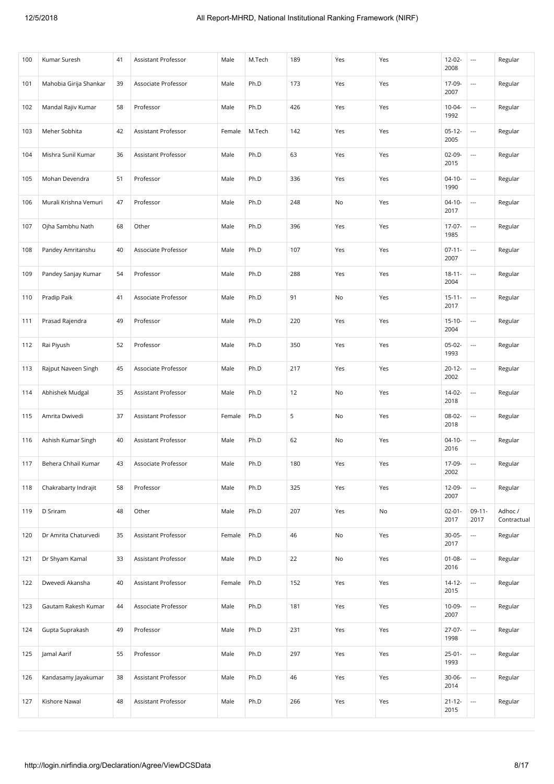| 100 | Kumar Suresh           | 41 | Assistant Professor        | Male   | M.Tech | 189 | Yes | Yes | 12-02-<br>2008      | $\hspace{0.05cm} \ldots$ | Regular                |
|-----|------------------------|----|----------------------------|--------|--------|-----|-----|-----|---------------------|--------------------------|------------------------|
| 101 | Mahobia Girija Shankar | 39 | Associate Professor        | Male   | Ph.D   | 173 | Yes | Yes | 17-09-<br>2007      | $\overline{a}$           | Regular                |
| 102 | Mandal Rajiv Kumar     | 58 | Professor                  | Male   | Ph.D   | 426 | Yes | Yes | $10 - 04 -$<br>1992 | $\overline{\phantom{a}}$ | Regular                |
| 103 | Meher Sobhita          | 42 | Assistant Professor        | Female | M.Tech | 142 | Yes | Yes | $05-12-$<br>2005    | ---                      | Regular                |
| 104 | Mishra Sunil Kumar     | 36 | <b>Assistant Professor</b> | Male   | Ph.D   | 63  | Yes | Yes | $02-09-$<br>2015    | ---                      | Regular                |
| 105 | Mohan Devendra         | 51 | Professor                  | Male   | Ph.D   | 336 | Yes | Yes | $04 - 10 -$<br>1990 | ---                      | Regular                |
| 106 | Murali Krishna Vemuri  | 47 | Professor                  | Male   | Ph.D   | 248 | No  | Yes | $04-10-$<br>2017    | $\overline{\phantom{a}}$ | Regular                |
| 107 | Ojha Sambhu Nath       | 68 | Other                      | Male   | Ph.D   | 396 | Yes | Yes | 17-07-<br>1985      | $\overline{\phantom{a}}$ | Regular                |
| 108 | Pandey Amritanshu      | 40 | Associate Professor        | Male   | Ph.D   | 107 | Yes | Yes | $07 - 11 -$<br>2007 | $\overline{a}$           | Regular                |
| 109 | Pandey Sanjay Kumar    | 54 | Professor                  | Male   | Ph.D   | 288 | Yes | Yes | $18 - 11 -$<br>2004 | $\overline{\phantom{a}}$ | Regular                |
| 110 | Pradip Paik            | 41 | Associate Professor        | Male   | Ph.D   | 91  | No  | Yes | $15 - 11 -$<br>2017 |                          | Regular                |
| 111 | Prasad Rajendra        | 49 | Professor                  | Male   | Ph.D   | 220 | Yes | Yes | $15 - 10 -$<br>2004 |                          | Regular                |
| 112 | Rai Piyush             | 52 | Professor                  | Male   | Ph.D   | 350 | Yes | Yes | $05-02-$<br>1993    | ---                      | Regular                |
| 113 | Rajput Naveen Singh    | 45 | Associate Professor        | Male   | Ph.D   | 217 | Yes | Yes | $20 - 12 -$<br>2002 | ---                      | Regular                |
| 114 | Abhishek Mudgal        | 35 | Assistant Professor        | Male   | Ph.D   | 12  | No  | Yes | 14-02-<br>2018      | $\overline{\phantom{a}}$ | Regular                |
| 115 | Amrita Dwivedi         | 37 | Assistant Professor        | Female | Ph.D   | 5   | No  | Yes | 08-02-<br>2018      | $\hspace{0.05cm} \ldots$ | Regular                |
| 116 | Ashish Kumar Singh     | 40 | Assistant Professor        | Male   | Ph.D   | 62  | No  | Yes | $04-10-$<br>2016    | $\overline{a}$           | Regular                |
| 117 | Behera Chhail Kumar    | 43 | Associate Professor        | Male   | Ph.D   | 180 | Yes | Yes | 17-09-<br>2002      | $\overline{\phantom{a}}$ | Regular                |
| 118 | Chakrabarty Indrajit   | 58 | Professor                  | Male   | Ph.D   | 325 | Yes | Yes | 12-09-<br>2007      |                          | Regular                |
| 119 | D Sriram               | 48 | Other                      | Male   | Ph.D   | 207 | Yes | No  | $02 - 01 -$<br>2017 | $09-11-$<br>2017         | Adhoc /<br>Contractual |
| 120 | Dr Amrita Chaturvedi   | 35 | Assistant Professor        | Female | Ph.D   | 46  | No  | Yes | $30 - 05 -$<br>2017 | $\overline{\phantom{a}}$ | Regular                |
| 121 | Dr Shyam Kamal         | 33 | Assistant Professor        | Male   | Ph.D   | 22  | No  | Yes | $01 - 08 -$<br>2016 | ---                      | Regular                |
| 122 | Dwevedi Akansha        | 40 | Assistant Professor        | Female | Ph.D   | 152 | Yes | Yes | $14 - 12 -$<br>2015 | $\hspace{0.05cm} \ldots$ | Regular                |
| 123 | Gautam Rakesh Kumar    | 44 | Associate Professor        | Male   | Ph.D   | 181 | Yes | Yes | 10-09-<br>2007      | $\overline{\phantom{a}}$ | Regular                |
| 124 | Gupta Suprakash        | 49 | Professor                  | Male   | Ph.D   | 231 | Yes | Yes | 27-07-<br>1998      | $\overline{\phantom{a}}$ | Regular                |
| 125 | Jamal Aarif            | 55 | Professor                  | Male   | Ph.D   | 297 | Yes | Yes | $25-01-$<br>1993    | $\overline{\phantom{a}}$ | Regular                |
| 126 | Kandasamy Jayakumar    | 38 | Assistant Professor        | Male   | Ph.D   | 46  | Yes | Yes | $30 - 06 -$<br>2014 | $\overline{\phantom{a}}$ | Regular                |
| 127 | Kishore Nawal          | 48 | Assistant Professor        | Male   | Ph.D   | 266 | Yes | Yes | $21 - 12 -$<br>2015 |                          | Regular                |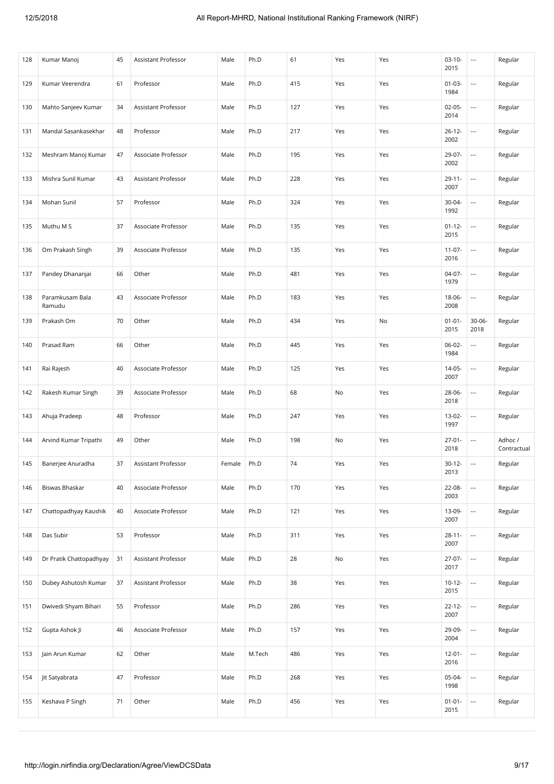| 128 | Kumar Manoj               | 45 | Assistant Professor        | Male   | Ph.D   | 61  | Yes | Yes | $03-10-$<br>2015    | $\hspace{0.05cm} \ldots$ | Regular                |
|-----|---------------------------|----|----------------------------|--------|--------|-----|-----|-----|---------------------|--------------------------|------------------------|
| 129 | Kumar Veerendra           | 61 | Professor                  | Male   | Ph.D   | 415 | Yes | Yes | $01 - 03 -$<br>1984 | $\overline{\phantom{a}}$ | Regular                |
| 130 | Mahto Sanjeev Kumar       | 34 | Assistant Professor        | Male   | Ph.D   | 127 | Yes | Yes | $02-05-$<br>2014    | $\overline{\phantom{a}}$ | Regular                |
| 131 | Mandal Sasankasekhar      | 48 | Professor                  | Male   | Ph.D   | 217 | Yes | Yes | $26 - 12 -$<br>2002 | $\overline{\phantom{a}}$ | Regular                |
| 132 | Meshram Manoj Kumar       | 47 | Associate Professor        | Male   | Ph.D   | 195 | Yes | Yes | 29-07-<br>2002      | $\overline{\phantom{a}}$ | Regular                |
| 133 | Mishra Sunil Kumar        | 43 | <b>Assistant Professor</b> | Male   | Ph.D   | 228 | Yes | Yes | $29 - 11 -$<br>2007 | $\overline{\phantom{a}}$ | Regular                |
| 134 | Mohan Sunil               | 57 | Professor                  | Male   | Ph.D   | 324 | Yes | Yes | 30-04-<br>1992      | $\overline{\phantom{a}}$ | Regular                |
| 135 | Muthu M S                 | 37 | Associate Professor        | Male   | Ph.D   | 135 | Yes | Yes | $01 - 12 -$<br>2015 | $\overline{\phantom{a}}$ | Regular                |
| 136 | Om Prakash Singh          | 39 | Associate Professor        | Male   | Ph.D   | 135 | Yes | Yes | $11-07-$<br>2016    | $\overline{\phantom{a}}$ | Regular                |
| 137 | Pandey Dhananjai          | 66 | Other                      | Male   | Ph.D   | 481 | Yes | Yes | $04-07-$<br>1979    | $\overline{\phantom{a}}$ | Regular                |
| 138 | Paramkusam Bala<br>Ramudu | 43 | Associate Professor        | Male   | Ph.D   | 183 | Yes | Yes | $18 - 06 -$<br>2008 |                          | Regular                |
| 139 | Prakash Om                | 70 | Other                      | Male   | Ph.D   | 434 | Yes | No  | $01 - 01 -$<br>2015 | $30 - 06 -$<br>2018      | Regular                |
| 140 | Prasad Ram                | 66 | Other                      | Male   | Ph.D   | 445 | Yes | Yes | 06-02-<br>1984      | $\overline{\phantom{a}}$ | Regular                |
| 141 | Rai Rajesh                | 40 | Associate Professor        | Male   | Ph.D   | 125 | Yes | Yes | 14-05-<br>2007      | $\overline{\phantom{a}}$ | Regular                |
| 142 | Rakesh Kumar Singh        | 39 | Associate Professor        | Male   | Ph.D   | 68  | No  | Yes | 28-06-<br>2018      | $\overline{\phantom{a}}$ | Regular                |
| 143 | Ahuja Pradeep             | 48 | Professor                  | Male   | Ph.D   | 247 | Yes | Yes | 13-02-<br>1997      | $\overline{\phantom{a}}$ | Regular                |
| 144 | Arvind Kumar Tripathi     | 49 | Other                      | Male   | Ph.D   | 198 | No  | Yes | $27-01-$<br>2018    | $\hspace{0.05cm} \ldots$ | Adhoc /<br>Contractual |
| 145 | Banerjee Anuradha         | 37 | Assistant Professor        | Female | Ph.D   | 74  | Yes | Yes | $30-12-$<br>2013    | $\hspace{0.05cm} \ldots$ | Regular                |
| 146 | Biswas Bhaskar            | 40 | Associate Professor        | Male   | Ph.D   | 170 | Yes | Yes | 22-08-<br>2003      | $\overline{\phantom{a}}$ | Regular                |
| 147 | Chattopadhyay Kaushik     | 40 | Associate Professor        | Male   | Ph.D   | 121 | Yes | Yes | 13-09-<br>2007      | $\overline{\phantom{a}}$ | Regular                |
| 148 | Das Subir                 | 53 | Professor                  | Male   | Ph.D   | 311 | Yes | Yes | $28 - 11 -$<br>2007 | $\overline{a}$           | Regular                |
| 149 | Dr Pratik Chattopadhyay   | 31 | <b>Assistant Professor</b> | Male   | Ph.D   | 28  | No  | Yes | $27-07-$<br>2017    | $\overline{\phantom{a}}$ | Regular                |
| 150 | Dubey Ashutosh Kumar      | 37 | Assistant Professor        | Male   | Ph.D   | 38  | Yes | Yes | $10-12-$<br>2015    | $\overline{\phantom{a}}$ | Regular                |
| 151 | Dwivedi Shyam Bihari      | 55 | Professor                  | Male   | Ph.D   | 286 | Yes | Yes | $22 - 12 -$<br>2007 | $\overline{\phantom{a}}$ | Regular                |
| 152 | Gupta Ashok Ji            | 46 | Associate Professor        | Male   | Ph.D   | 157 | Yes | Yes | 29-09-<br>2004      | $\ldots$                 | Regular                |
| 153 | Jain Arun Kumar           | 62 | Other                      | Male   | M.Tech | 486 | Yes | Yes | $12 - 01 -$<br>2016 | $\overline{\phantom{a}}$ | Regular                |
| 154 | Jit Satyabrata            | 47 | Professor                  | Male   | Ph.D   | 268 | Yes | Yes | 05-04-<br>1998      | $\overline{\phantom{a}}$ | Regular                |
| 155 | Keshava P Singh           | 71 | Other                      | Male   | Ph.D   | 456 | Yes | Yes | $01 - 01 -$<br>2015 |                          | Regular                |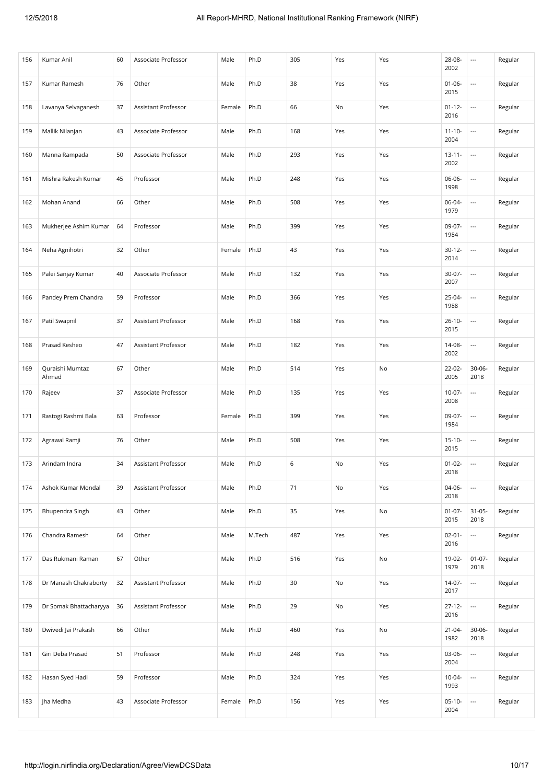| 156 | Kumar Anil               | 60 | Associate Professor | Male   | Ph.D   | 305 | Yes | Yes | 28-08-<br>2002      | $\hspace{0.05cm} \ldots$ | Regular |
|-----|--------------------------|----|---------------------|--------|--------|-----|-----|-----|---------------------|--------------------------|---------|
| 157 | Kumar Ramesh             | 76 | Other               | Male   | Ph.D   | 38  | Yes | Yes | $01 - 06 -$<br>2015 | $\overline{\phantom{a}}$ | Regular |
| 158 | Lavanya Selvaganesh      | 37 | Assistant Professor | Female | Ph.D   | 66  | No  | Yes | $01 - 12 -$<br>2016 | $\overline{\phantom{a}}$ | Regular |
| 159 | Mallik Nilanjan          | 43 | Associate Professor | Male   | Ph.D   | 168 | Yes | Yes | $11 - 10 -$<br>2004 | $\overline{\phantom{a}}$ | Regular |
| 160 | Manna Rampada            | 50 | Associate Professor | Male   | Ph.D   | 293 | Yes | Yes | $13 - 11 -$<br>2002 | $\overline{\phantom{a}}$ | Regular |
| 161 | Mishra Rakesh Kumar      | 45 | Professor           | Male   | Ph.D   | 248 | Yes | Yes | 06-06-<br>1998      | $\overline{\phantom{a}}$ | Regular |
| 162 | Mohan Anand              | 66 | Other               | Male   | Ph.D   | 508 | Yes | Yes | 06-04-<br>1979      | $\overline{\phantom{a}}$ | Regular |
| 163 | Mukherjee Ashim Kumar    | 64 | Professor           | Male   | Ph.D   | 399 | Yes | Yes | 09-07-<br>1984      | $\overline{\phantom{a}}$ | Regular |
| 164 | Neha Agnihotri           | 32 | Other               | Female | Ph.D   | 43  | Yes | Yes | $30 - 12 -$<br>2014 | $\overline{\phantom{a}}$ | Regular |
| 165 | Palei Sanjay Kumar       | 40 | Associate Professor | Male   | Ph.D   | 132 | Yes | Yes | $30-07 -$<br>2007   | $\overline{\phantom{a}}$ | Regular |
| 166 | Pandey Prem Chandra      | 59 | Professor           | Male   | Ph.D   | 366 | Yes | Yes | $25 - 04 -$<br>1988 | ---                      | Regular |
| 167 | Patil Swapnil            | 37 | Assistant Professor | Male   | Ph.D   | 168 | Yes | Yes | $26 - 10 -$<br>2015 | $\overline{\phantom{a}}$ | Regular |
| 168 | Prasad Kesheo            | 47 | Assistant Professor | Male   | Ph.D   | 182 | Yes | Yes | 14-08-<br>2002      | $\overline{\phantom{a}}$ | Regular |
| 169 | Quraishi Mumtaz<br>Ahmad | 67 | Other               | Male   | Ph.D   | 514 | Yes | No  | 22-02-<br>2005      | $30 - 06 -$<br>2018      | Regular |
| 170 | Rajeev                   | 37 | Associate Professor | Male   | Ph.D   | 135 | Yes | Yes | $10-07 -$<br>2008   | ---                      | Regular |
| 171 | Rastogi Rashmi Bala      | 63 | Professor           | Female | Ph.D   | 399 | Yes | Yes | 09-07-<br>1984      | $\overline{\phantom{a}}$ | Regular |
| 172 | Agrawal Ramji            | 76 | Other               | Male   | Ph.D   | 508 | Yes | Yes | $15-10-$<br>2015    | $\overline{\phantom{a}}$ | Regular |
| 173 | Arindam Indra            | 34 | Assistant Professor | Male   | Ph.D   | 6   | No  | Yes | $01-02-$<br>2018    | $\overline{\phantom{a}}$ | Regular |
| 174 | Ashok Kumar Mondal       | 39 | Assistant Professor | Male   | Ph.D   | 71  | No  | Yes | 04-06-<br>2018      | ---                      | Regular |
| 175 | Bhupendra Singh          | 43 | Other               | Male   | Ph.D   | 35  | Yes | No  | $01 - 07 -$<br>2015 | $31 - 05 -$<br>2018      | Regular |
| 176 | Chandra Ramesh           | 64 | Other               | Male   | M.Tech | 487 | Yes | Yes | $02 - 01 -$<br>2016 | $\ldots$                 | Regular |
| 177 | Das Rukmani Raman        | 67 | Other               | Male   | Ph.D   | 516 | Yes | No  | 19-02-<br>1979      | $01 - 07 -$<br>2018      | Regular |
| 178 | Dr Manash Chakraborty    | 32 | Assistant Professor | Male   | Ph.D   | 30  | No  | Yes | $14 - 07 -$<br>2017 | ---                      | Regular |
| 179 | Dr Somak Bhattacharyya   | 36 | Assistant Professor | Male   | Ph.D   | 29  | No  | Yes | $27 - 12 -$<br>2016 | $\overline{\phantom{a}}$ | Regular |
| 180 | Dwivedi Jai Prakash      | 66 | Other               | Male   | Ph.D   | 460 | Yes | No  | $21 - 04 -$<br>1982 | $30 - 06 -$<br>2018      | Regular |
| 181 | Giri Deba Prasad         | 51 | Professor           | Male   | Ph.D   | 248 | Yes | Yes | 03-06-<br>2004      | $\overline{\phantom{a}}$ | Regular |
| 182 | Hasan Syed Hadi          | 59 | Professor           | Male   | Ph.D   | 324 | Yes | Yes | $10-04-$<br>1993    | $\overline{\phantom{a}}$ | Regular |
| 183 | Jha Medha                | 43 | Associate Professor | Female | Ph.D   | 156 | Yes | Yes | $05-10-$<br>2004    |                          | Regular |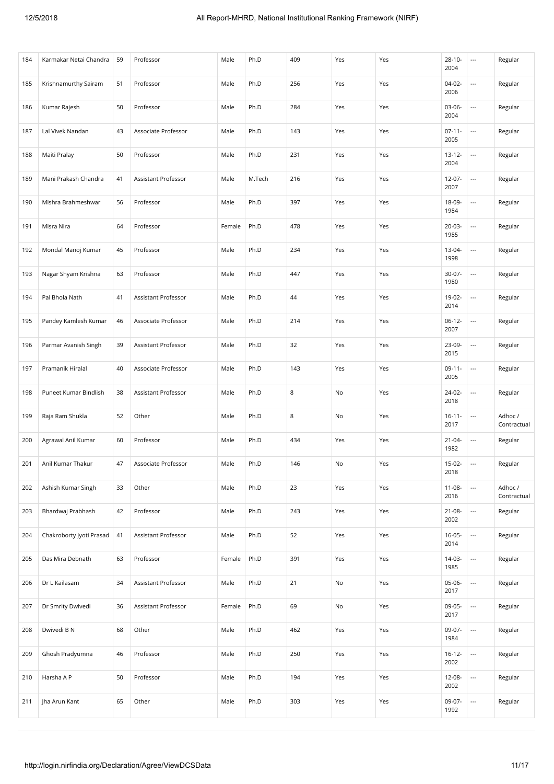| 184 | Karmakar Netai Chandra   | 59 | Professor                  | Male   | Ph.D   | 409    | Yes | Yes | $28 - 10 -$<br>2004 | $\cdots$                 | Regular                |
|-----|--------------------------|----|----------------------------|--------|--------|--------|-----|-----|---------------------|--------------------------|------------------------|
| 185 | Krishnamurthy Sairam     | 51 | Professor                  | Male   | Ph.D   | 256    | Yes | Yes | $04-02-$<br>2006    | $\overline{a}$           | Regular                |
| 186 | Kumar Rajesh             | 50 | Professor                  | Male   | Ph.D   | 284    | Yes | Yes | $03 - 06 -$<br>2004 |                          | Regular                |
| 187 | Lal Vivek Nandan         | 43 | Associate Professor        | Male   | Ph.D   | 143    | Yes | Yes | $07 - 11 -$<br>2005 |                          | Regular                |
| 188 | Maiti Pralay             | 50 | Professor                  | Male   | Ph.D   | 231    | Yes | Yes | $13 - 12 -$<br>2004 | $\overline{\phantom{a}}$ | Regular                |
| 189 | Mani Prakash Chandra     | 41 | <b>Assistant Professor</b> | Male   | M.Tech | 216    | Yes | Yes | $12 - 07 -$<br>2007 | ---                      | Regular                |
| 190 | Mishra Brahmeshwar       | 56 | Professor                  | Male   | Ph.D   | 397    | Yes | Yes | 18-09-<br>1984      |                          | Regular                |
| 191 | Misra Nira               | 64 | Professor                  | Female | Ph.D   | 478    | Yes | Yes | 20-03-<br>1985      |                          | Regular                |
| 192 | Mondal Manoj Kumar       | 45 | Professor                  | Male   | Ph.D   | 234    | Yes | Yes | 13-04-<br>1998      | ---                      | Regular                |
| 193 | Nagar Shyam Krishna      | 63 | Professor                  | Male   | Ph.D   | 447    | Yes | Yes | $30-07 -$<br>1980   | ---                      | Regular                |
| 194 | Pal Bhola Nath           | 41 | Assistant Professor        | Male   | Ph.D   | 44     | Yes | Yes | 19-02-<br>2014      | ---                      | Regular                |
| 195 | Pandey Kamlesh Kumar     | 46 | Associate Professor        | Male   | Ph.D   | 214    | Yes | Yes | $06-12-$<br>2007    |                          | Regular                |
| 196 | Parmar Avanish Singh     | 39 | Assistant Professor        | Male   | Ph.D   | 32     | Yes | Yes | 23-09-<br>2015      | ---                      | Regular                |
| 197 | Pramanik Hiralal         | 40 | Associate Professor        | Male   | Ph.D   | 143    | Yes | Yes | $09-11-$<br>2005    | $\overline{\phantom{a}}$ | Regular                |
| 198 | Puneet Kumar Bindlish    | 38 | Assistant Professor        | Male   | Ph.D   | 8      | No  | Yes | 24-02-<br>2018      |                          | Regular                |
| 199 | Raja Ram Shukla          | 52 | Other                      | Male   | Ph.D   | $\,$ 8 | No  | Yes | $16 - 11 -$<br>2017 | $\hspace{0.05cm} \ldots$ | Adhoc /<br>Contractual |
| 200 | Agrawal Anil Kumar       | 60 | Professor                  | Male   | Ph.D   | 434    | Yes | Yes | $21 - 04 -$<br>1982 |                          | Regular                |
| 201 | Anil Kumar Thakur        | 47 | Associate Professor        | Male   | Ph.D   | 146    | No  | Yes | $15-02-$<br>2018    | $\overline{a}$           | Regular                |
| 202 | Ashish Kumar Singh       | 33 | Other                      | Male   | Ph.D   | 23     | Yes | Yes | $11 - 08 -$<br>2016 | ---                      | Adhoc /<br>Contractual |
| 203 | Bhardwaj Prabhash        | 42 | Professor                  | Male   | Ph.D   | 243    | Yes | Yes | $21 - 08 -$<br>2002 | ---                      | Regular                |
| 204 | Chakroborty Jyoti Prasad | 41 | Assistant Professor        | Male   | Ph.D   | 52     | Yes | Yes | $16 - 05 -$<br>2014 | $\overline{\phantom{a}}$ | Regular                |
| 205 | Das Mira Debnath         | 63 | Professor                  | Female | Ph.D   | 391    | Yes | Yes | 14-03-<br>1985      | ---                      | Regular                |
| 206 | Dr L Kailasam            | 34 | Assistant Professor        | Male   | Ph.D   | 21     | No  | Yes | 05-06-<br>2017      |                          | Regular                |
| 207 | Dr Smrity Dwivedi        | 36 | Assistant Professor        | Female | Ph.D   | 69     | No  | Yes | 09-05-<br>2017      | ---                      | Regular                |
| 208 | Dwivedi B N              | 68 | Other                      | Male   | Ph.D   | 462    | Yes | Yes | 09-07-<br>1984      | $\overline{a}$           | Regular                |
| 209 | Ghosh Pradyumna          | 46 | Professor                  | Male   | Ph.D   | 250    | Yes | Yes | $16 - 12 -$<br>2002 | $\hspace{0.05cm} \ldots$ | Regular                |
| 210 | Harsha A P               | 50 | Professor                  | Male   | Ph.D   | 194    | Yes | Yes | 12-08-<br>2002      | ---                      | Regular                |
| 211 | Jha Arun Kant            | 65 | Other                      | Male   | Ph.D   | 303    | Yes | Yes | 09-07-<br>1992      |                          | Regular                |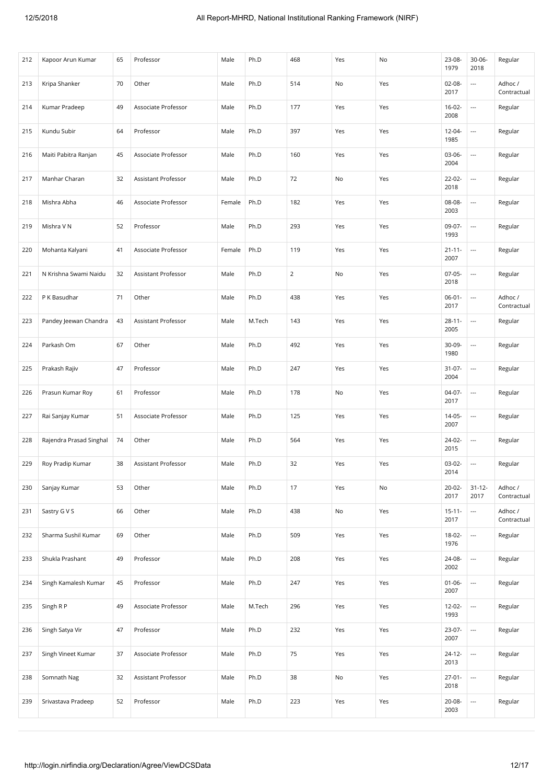| 212 | Kapoor Arun Kumar       | 65 | Professor           | Male   | Ph.D   | 468            | Yes | No  | 23-08-<br>1979      | $30 - 06 -$<br>2018      | Regular                |
|-----|-------------------------|----|---------------------|--------|--------|----------------|-----|-----|---------------------|--------------------------|------------------------|
| 213 | Kripa Shanker           | 70 | Other               | Male   | Ph.D   | 514            | No  | Yes | $02 - 08 -$<br>2017 | $\overline{\phantom{a}}$ | Adhoc /<br>Contractual |
| 214 | Kumar Pradeep           | 49 | Associate Professor | Male   | Ph.D   | 177            | Yes | Yes | $16-02-$<br>2008    | $\overline{\phantom{a}}$ | Regular                |
| 215 | Kundu Subir             | 64 | Professor           | Male   | Ph.D   | 397            | Yes | Yes | 12-04-<br>1985      | $\overline{\phantom{a}}$ | Regular                |
| 216 | Maiti Pabitra Ranjan    | 45 | Associate Professor | Male   | Ph.D   | 160            | Yes | Yes | 03-06-<br>2004      | $\overline{\phantom{a}}$ | Regular                |
| 217 | Manhar Charan           | 32 | Assistant Professor | Male   | Ph.D   | 72             | No  | Yes | 22-02-<br>2018      | $\overline{\phantom{a}}$ | Regular                |
| 218 | Mishra Abha             | 46 | Associate Professor | Female | Ph.D   | 182            | Yes | Yes | 08-08-<br>2003      | $\overline{\phantom{a}}$ | Regular                |
| 219 | Mishra V N              | 52 | Professor           | Male   | Ph.D   | 293            | Yes | Yes | 09-07-<br>1993      | $\overline{\phantom{a}}$ | Regular                |
| 220 | Mohanta Kalyani         | 41 | Associate Professor | Female | Ph.D   | 119            | Yes | Yes | $21 - 11 -$<br>2007 | $\overline{\phantom{a}}$ | Regular                |
| 221 | N Krishna Swami Naidu   | 32 | Assistant Professor | Male   | Ph.D   | $\overline{2}$ | No  | Yes | $07-05-$<br>2018    | $\overline{\phantom{a}}$ | Regular                |
| 222 | P K Basudhar            | 71 | Other               | Male   | Ph.D   | 438            | Yes | Yes | $06 - 01 -$<br>2017 | $\hspace{0.05cm} \cdots$ | Adhoc /<br>Contractual |
| 223 | Pandey Jeewan Chandra   | 43 | Assistant Professor | Male   | M.Tech | 143            | Yes | Yes | $28 - 11 -$<br>2005 | $\overline{\phantom{a}}$ | Regular                |
| 224 | Parkash Om              | 67 | Other               | Male   | Ph.D   | 492            | Yes | Yes | 30-09-<br>1980      | $\overline{\phantom{a}}$ | Regular                |
| 225 | Prakash Rajiv           | 47 | Professor           | Male   | Ph.D   | 247            | Yes | Yes | $31 - 07 -$<br>2004 | $\overline{\phantom{a}}$ | Regular                |
| 226 | Prasun Kumar Roy        | 61 | Professor           | Male   | Ph.D   | 178            | No  | Yes | $04-07-$<br>2017    | $\overline{\phantom{a}}$ | Regular                |
| 227 | Rai Sanjay Kumar        | 51 | Associate Professor | Male   | Ph.D   | 125            | Yes | Yes | 14-05-<br>2007      | $\overline{\phantom{a}}$ | Regular                |
| 228 | Rajendra Prasad Singhal | 74 | Other               | Male   | Ph.D   | 564            | Yes | Yes | 24-02-<br>2015      | $\overline{\phantom{a}}$ | Regular                |
| 229 | Roy Pradip Kumar        | 38 | Assistant Professor | Male   | Ph.D   | 32             | Yes | Yes | $03-02-$<br>2014    | $\overline{\phantom{a}}$ | Regular                |
| 230 | Sanjay Kumar            | 53 | Other               | Male   | Ph.D   | 17             | Yes | No  | $20-02-$<br>2017    | $31 - 12 -$<br>2017      | Adhoc /<br>Contractual |
| 231 | Sastry G V S            | 66 | Other               | Male   | Ph.D   | 438            | No  | Yes | $15 - 11 -$<br>2017 |                          | Adhoc /<br>Contractual |
| 232 | Sharma Sushil Kumar     | 69 | Other               | Male   | Ph.D   | 509            | Yes | Yes | 18-02-<br>1976      | $\overline{a}$           | Regular                |
| 233 | Shukla Prashant         | 49 | Professor           | Male   | Ph.D   | 208            | Yes | Yes | 24-08-<br>2002      | $\overline{\phantom{a}}$ | Regular                |
| 234 | Singh Kamalesh Kumar    | 45 | Professor           | Male   | Ph.D   | 247            | Yes | Yes | $01 - 06 -$<br>2007 | $\overline{\phantom{a}}$ | Regular                |
| 235 | Singh R P               | 49 | Associate Professor | Male   | M.Tech | 296            | Yes | Yes | $12 - 02 -$<br>1993 |                          | Regular                |
| 236 | Singh Satya Vir         | 47 | Professor           | Male   | Ph.D   | 232            | Yes | Yes | 23-07-<br>2007      | $\overline{\phantom{a}}$ | Regular                |
| 237 | Singh Vineet Kumar      | 37 | Associate Professor | Male   | Ph.D   | 75             | Yes | Yes | $24 - 12 -$<br>2013 |                          | Regular                |
| 238 | Somnath Nag             | 32 | Assistant Professor | Male   | Ph.D   | 38             | No  | Yes | $27 - 01 -$<br>2018 | $\overline{\phantom{a}}$ | Regular                |
| 239 | Srivastava Pradeep      | 52 | Professor           | Male   | Ph.D   | 223            | Yes | Yes | 20-08-<br>2003      | $\overline{\phantom{a}}$ | Regular                |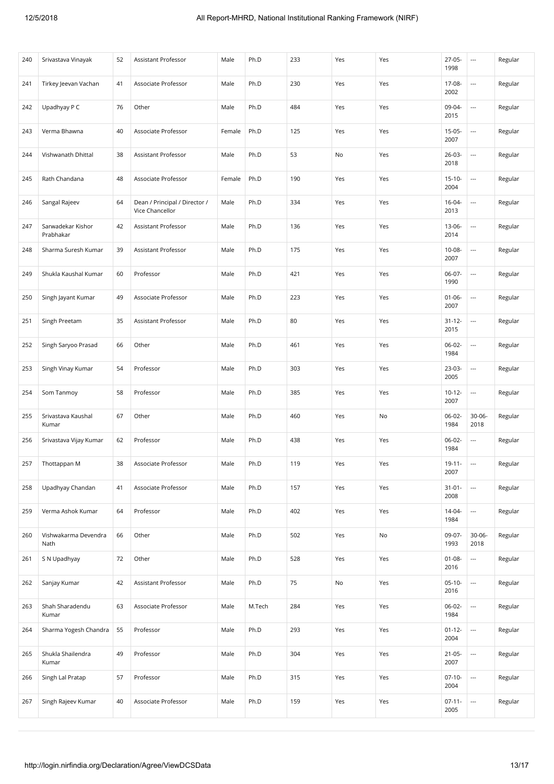| 240 | Srivastava Vinayak             | 52 | Assistant Professor                              | Male   | Ph.D   | 233 | Yes | Yes | $27-05-$<br>1998    | $\hspace{0.05cm} \ldots$ | Regular |
|-----|--------------------------------|----|--------------------------------------------------|--------|--------|-----|-----|-----|---------------------|--------------------------|---------|
| 241 | Tirkey Jeevan Vachan           | 41 | Associate Professor                              | Male   | Ph.D   | 230 | Yes | Yes | 17-08-<br>2002      | $\overline{\phantom{a}}$ | Regular |
| 242 | Upadhyay P C                   | 76 | Other                                            | Male   | Ph.D   | 484 | Yes | Yes | 09-04-<br>2015      | $\hspace{0.05cm} \ldots$ | Regular |
| 243 | Verma Bhawna                   | 40 | Associate Professor                              | Female | Ph.D   | 125 | Yes | Yes | $15-05-$<br>2007    | $\overline{\phantom{a}}$ | Regular |
| 244 | Vishwanath Dhittal             | 38 | Assistant Professor                              | Male   | Ph.D   | 53  | No  | Yes | $26 - 03 -$<br>2018 | $\hspace{0.05cm} \ldots$ | Regular |
| 245 | Rath Chandana                  | 48 | Associate Professor                              | Female | Ph.D   | 190 | Yes | Yes | $15 - 10 -$<br>2004 | $\overline{\phantom{a}}$ | Regular |
| 246 | Sangal Rajeev                  | 64 | Dean / Principal / Director /<br>Vice Chancellor | Male   | Ph.D   | 334 | Yes | Yes | $16 - 04 -$<br>2013 | $\overline{\phantom{a}}$ | Regular |
| 247 | Sarwadekar Kishor<br>Prabhakar | 42 | Assistant Professor                              | Male   | Ph.D   | 136 | Yes | Yes | 13-06-<br>2014      | $\hspace{0.05cm} \ldots$ | Regular |
| 248 | Sharma Suresh Kumar            | 39 | Assistant Professor                              | Male   | Ph.D   | 175 | Yes | Yes | 10-08-<br>2007      | $\hspace{0.05cm} \ldots$ | Regular |
| 249 | Shukla Kaushal Kumar           | 60 | Professor                                        | Male   | Ph.D   | 421 | Yes | Yes | 06-07-<br>1990      | $\overline{a}$           | Regular |
| 250 | Singh Jayant Kumar             | 49 | Associate Professor                              | Male   | Ph.D   | 223 | Yes | Yes | $01 - 06 -$<br>2007 | $\overline{\phantom{a}}$ | Regular |
| 251 | Singh Preetam                  | 35 | Assistant Professor                              | Male   | Ph.D   | 80  | Yes | Yes | $31 - 12 -$<br>2015 | $\overline{\phantom{a}}$ | Regular |
| 252 | Singh Saryoo Prasad            | 66 | Other                                            | Male   | Ph.D   | 461 | Yes | Yes | 06-02-<br>1984      | $\hspace{0.05cm} \ldots$ | Regular |
| 253 | Singh Vinay Kumar              | 54 | Professor                                        | Male   | Ph.D   | 303 | Yes | Yes | 23-03-<br>2005      | $\overline{\phantom{a}}$ | Regular |
| 254 | Som Tanmoy                     | 58 | Professor                                        | Male   | Ph.D   | 385 | Yes | Yes | $10-12-$<br>2007    | $\overline{\phantom{a}}$ | Regular |
| 255 | Srivastava Kaushal<br>Kumar    | 67 | Other                                            | Male   | Ph.D   | 460 | Yes | No  | 06-02-<br>1984      | $30 - 06 -$<br>2018      | Regular |
| 256 | Srivastava Vijay Kumar         | 62 | Professor                                        | Male   | Ph.D   | 438 | Yes | Yes | 06-02-<br>1984      | $\hspace{0.05cm} \ldots$ | Regular |
| 257 | Thottappan M                   | 38 | Associate Professor                              | Male   | Ph.D   | 119 | Yes | Yes | $19 - 11 -$<br>2007 | $\overline{\phantom{a}}$ | Regular |
| 258 | Upadhyay Chandan               | 41 | Associate Professor                              | Male   | Ph.D   | 157 | Yes | Yes | $31 - 01 -$<br>2008 | $\overline{\phantom{a}}$ | Regular |
| 259 | Verma Ashok Kumar              | 64 | Professor                                        | Male   | Ph.D   | 402 | Yes | Yes | 14-04-<br>1984      | $\overline{\phantom{a}}$ | Regular |
| 260 | Vishwakarma Devendra<br>Nath   | 66 | Other                                            | Male   | Ph.D   | 502 | Yes | No  | 09-07-<br>1993      | $30 - 06 -$<br>2018      | Regular |
| 261 | S N Upadhyay                   | 72 | Other                                            | Male   | Ph.D   | 528 | Yes | Yes | $01 - 08 -$<br>2016 | $\overline{\phantom{a}}$ | Regular |
| 262 | Sanjay Kumar                   | 42 | Assistant Professor                              | Male   | Ph.D   | 75  | No  | Yes | $05-10-$<br>2016    | $\overline{\phantom{a}}$ | Regular |
| 263 | Shah Sharadendu<br>Kumar       | 63 | Associate Professor                              | Male   | M.Tech | 284 | Yes | Yes | 06-02-<br>1984      | $\overline{\phantom{a}}$ | Regular |
| 264 | Sharma Yogesh Chandra          | 55 | Professor                                        | Male   | Ph.D   | 293 | Yes | Yes | $01 - 12 -$<br>2004 | $\overline{\phantom{a}}$ | Regular |
| 265 | Shukla Shailendra<br>Kumar     | 49 | Professor                                        | Male   | Ph.D   | 304 | Yes | Yes | $21 - 05 -$<br>2007 | $\overline{\phantom{a}}$ | Regular |
| 266 | Singh Lal Pratap               | 57 | Professor                                        | Male   | Ph.D   | 315 | Yes | Yes | $07-10-$<br>2004    | $\hspace{0.05cm} \ldots$ | Regular |
| 267 | Singh Rajeev Kumar             | 40 | Associate Professor                              | Male   | Ph.D   | 159 | Yes | Yes | $07-11-$<br>2005    | $\overline{\phantom{a}}$ | Regular |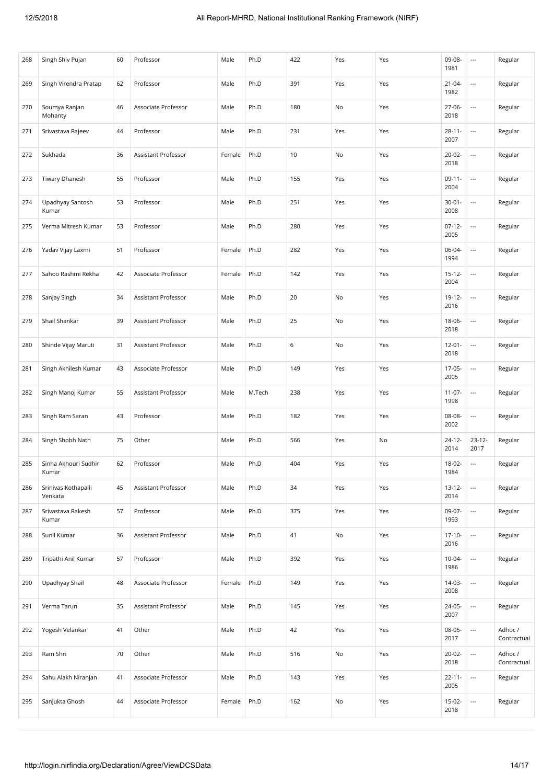| 268 | Singh Shiv Pujan               | 60 | Professor           | Male   | Ph.D   | 422 | Yes | Yes | 09-08-<br>1981      | $\hspace{0.05cm} \ldots$ | Regular                |
|-----|--------------------------------|----|---------------------|--------|--------|-----|-----|-----|---------------------|--------------------------|------------------------|
| 269 | Singh Virendra Pratap          | 62 | Professor           | Male   | Ph.D   | 391 | Yes | Yes | $21 - 04 -$<br>1982 | $\overline{\phantom{a}}$ | Regular                |
| 270 | Soumya Ranjan<br>Mohanty       | 46 | Associate Professor | Male   | Ph.D   | 180 | No  | Yes | $27 - 06 -$<br>2018 | $\overline{\phantom{a}}$ | Regular                |
| 271 | Srivastava Rajeev              | 44 | Professor           | Male   | Ph.D   | 231 | Yes | Yes | $28 - 11 -$<br>2007 | $\overline{\phantom{a}}$ | Regular                |
| 272 | Sukhada                        | 36 | Assistant Professor | Female | Ph.D   | 10  | No  | Yes | $20 - 02 -$<br>2018 | $\overline{\phantom{a}}$ | Regular                |
| 273 | <b>Tiwary Dhanesh</b>          | 55 | Professor           | Male   | Ph.D   | 155 | Yes | Yes | $09-11-$<br>2004    | $\overline{\phantom{a}}$ | Regular                |
| 274 | Upadhyay Santosh<br>Kumar      | 53 | Professor           | Male   | Ph.D   | 251 | Yes | Yes | $30 - 01 -$<br>2008 | $\overline{\phantom{a}}$ | Regular                |
| 275 | Verma Mitresh Kumar            | 53 | Professor           | Male   | Ph.D   | 280 | Yes | Yes | $07-12-$<br>2005    | $\overline{\phantom{a}}$ | Regular                |
| 276 | Yadav Vijay Laxmi              | 51 | Professor           | Female | Ph.D   | 282 | Yes | Yes | 06-04-<br>1994      | $\overline{\phantom{a}}$ | Regular                |
| 277 | Sahoo Rashmi Rekha             | 42 | Associate Professor | Female | Ph.D   | 142 | Yes | Yes | $15 - 12 -$<br>2004 | $\overline{\phantom{a}}$ | Regular                |
| 278 | Sanjay Singh                   | 34 | Assistant Professor | Male   | Ph.D   | 20  | No  | Yes | 19-12-<br>2016      | $\overline{\phantom{a}}$ | Regular                |
| 279 | Shail Shankar                  | 39 | Assistant Professor | Male   | Ph.D   | 25  | No  | Yes | 18-06-<br>2018      | $\overline{\phantom{a}}$ | Regular                |
| 280 | Shinde Vijay Maruti            | 31 | Assistant Professor | Male   | Ph.D   | 6   | No  | Yes | $12 - 01 -$<br>2018 | $\overline{\phantom{a}}$ | Regular                |
| 281 | Singh Akhilesh Kumar           | 43 | Associate Professor | Male   | Ph.D   | 149 | Yes | Yes | $17-05-$<br>2005    | $\overline{\phantom{a}}$ | Regular                |
| 282 | Singh Manoj Kumar              | 55 | Assistant Professor | Male   | M.Tech | 238 | Yes | Yes | $11-07-$<br>1998    | $\overline{\phantom{a}}$ | Regular                |
| 283 | Singh Ram Saran                | 43 | Professor           | Male   | Ph.D   | 182 | Yes | Yes | 08-08-<br>2002      | $\overline{\phantom{a}}$ | Regular                |
| 284 | Singh Shobh Nath               | 75 | Other               | Male   | Ph.D   | 566 | Yes | No  | $24 - 12 -$<br>2014 | $23-12-$<br>2017         | Regular                |
| 285 | Sinha Akhouri Sudhir<br>Kumar  | 62 | Professor           | Male   | Ph.D   | 404 | Yes | Yes | $18-02-$<br>1984    | $\overline{\phantom{a}}$ | Regular                |
| 286 | Srinivas Kothapalli<br>Venkata | 45 | Assistant Professor | Male   | Ph.D   | 34  | Yes | Yes | $13 - 12 -$<br>2014 | $\overline{\phantom{a}}$ | Regular                |
| 287 | Srivastava Rakesh<br>Kumar     | 57 | Professor           | Male   | Ph.D   | 375 | Yes | Yes | 09-07-<br>1993      | $\overline{\phantom{a}}$ | Regular                |
| 288 | Sunil Kumar                    | 36 | Assistant Professor | Male   | Ph.D   | 41  | No  | Yes | $17-10-$<br>2016    | $\overline{\phantom{a}}$ | Regular                |
| 289 | Tripathi Anil Kumar            | 57 | Professor           | Male   | Ph.D   | 392 | Yes | Yes | $10-04-$<br>1986    | $\overline{\phantom{a}}$ | Regular                |
| 290 | Upadhyay Shail                 | 48 | Associate Professor | Female | Ph.D   | 149 | Yes | Yes | 14-03-<br>2008      | $\overline{\phantom{a}}$ | Regular                |
| 291 | Verma Tarun                    | 35 | Assistant Professor | Male   | Ph.D   | 145 | Yes | Yes | 24-05-<br>2007      | $\overline{\phantom{a}}$ | Regular                |
| 292 | Yogesh Velankar                | 41 | Other               | Male   | Ph.D   | 42  | Yes | Yes | 08-05-<br>2017      | $\overline{\phantom{a}}$ | Adhoc /<br>Contractual |
| 293 | Ram Shri                       | 70 | Other               | Male   | Ph.D   | 516 | No  | Yes | $20 - 02 -$<br>2018 | $\overline{\phantom{a}}$ | Adhoc /<br>Contractual |
| 294 | Sahu Alakh Niranjan            | 41 | Associate Professor | Male   | Ph.D   | 143 | Yes | Yes | $22 - 11 -$<br>2005 | $\overline{\phantom{a}}$ | Regular                |
| 295 | Sanjukta Ghosh                 | 44 | Associate Professor | Female | Ph.D   | 162 | No  | Yes | 15-02-<br>2018      | $\overline{\phantom{a}}$ | Regular                |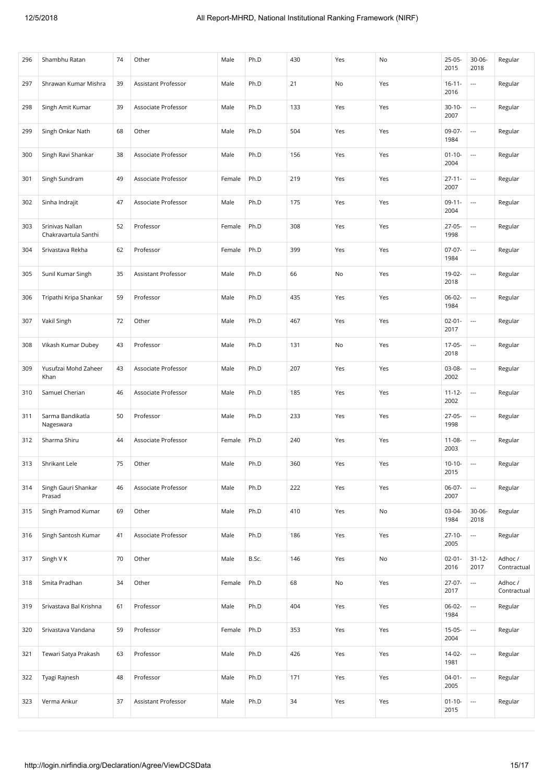| 296 | Shambhu Ratan                           | 74 | Other               | Male   | Ph.D  | 430 | Yes | No  | 25-05-<br>2015      | $30 - 06 -$<br>2018      | Regular                |
|-----|-----------------------------------------|----|---------------------|--------|-------|-----|-----|-----|---------------------|--------------------------|------------------------|
| 297 | Shrawan Kumar Mishra                    | 39 | Assistant Professor | Male   | Ph.D  | 21  | No  | Yes | $16 - 11 -$<br>2016 | $\overline{\phantom{a}}$ | Regular                |
| 298 | Singh Amit Kumar                        | 39 | Associate Professor | Male   | Ph.D  | 133 | Yes | Yes | $30-10-$<br>2007    | $\overline{\phantom{a}}$ | Regular                |
| 299 | Singh Onkar Nath                        | 68 | Other               | Male   | Ph.D  | 504 | Yes | Yes | 09-07-<br>1984      | $\overline{\phantom{a}}$ | Regular                |
| 300 | Singh Ravi Shankar                      | 38 | Associate Professor | Male   | Ph.D  | 156 | Yes | Yes | $01 - 10 -$<br>2004 | $\overline{\phantom{a}}$ | Regular                |
| 301 | Singh Sundram                           | 49 | Associate Professor | Female | Ph.D  | 219 | Yes | Yes | $27 - 11 -$<br>2007 | ---                      | Regular                |
| 302 | Sinha Indrajit                          | 47 | Associate Professor | Male   | Ph.D  | 175 | Yes | Yes | $09-11-$<br>2004    | $\overline{\phantom{a}}$ | Regular                |
| 303 | Srinivas Nallan<br>Chakravartula Santhi | 52 | Professor           | Female | Ph.D  | 308 | Yes | Yes | 27-05-<br>1998      | $\hspace{0.05cm} \ldots$ | Regular                |
| 304 | Srivastava Rekha                        | 62 | Professor           | Female | Ph.D  | 399 | Yes | Yes | $07-07-$<br>1984    | $\overline{\phantom{a}}$ | Regular                |
| 305 | Sunil Kumar Singh                       | 35 | Assistant Professor | Male   | Ph.D  | 66  | No  | Yes | 19-02-<br>2018      | $\hspace{0.05cm} \ldots$ | Regular                |
| 306 | Tripathi Kripa Shankar                  | 59 | Professor           | Male   | Ph.D  | 435 | Yes | Yes | $06-02-$<br>1984    | $\overline{\phantom{a}}$ | Regular                |
| 307 | Vakil Singh                             | 72 | Other               | Male   | Ph.D  | 467 | Yes | Yes | $02 - 01 -$<br>2017 | $\hspace{0.05cm} \ldots$ | Regular                |
| 308 | Vikash Kumar Dubey                      | 43 | Professor           | Male   | Ph.D  | 131 | No  | Yes | 17-05-<br>2018      | $\hspace{0.05cm} \ldots$ | Regular                |
| 309 | Yusufzai Mohd Zaheer<br>Khan            | 43 | Associate Professor | Male   | Ph.D  | 207 | Yes | Yes | 03-08-<br>2002      | $\hspace{0.05cm} \ldots$ | Regular                |
| 310 | Samuel Cherian                          | 46 | Associate Professor | Male   | Ph.D  | 185 | Yes | Yes | $11 - 12 -$<br>2002 | $\ldots$                 | Regular                |
| 311 | Sarma Bandikatla<br>Nageswara           | 50 | Professor           | Male   | Ph.D  | 233 | Yes | Yes | 27-05-<br>1998      | $\hspace{0.05cm} \cdots$ | Regular                |
| 312 | Sharma Shiru                            | 44 | Associate Professor | Female | Ph.D  | 240 | Yes | Yes | $11 - 08 -$<br>2003 | $\overline{\phantom{a}}$ | Regular                |
| 313 | Shrikant Lele                           | 75 | Other               | Male   | Ph.D  | 360 | Yes | Yes | $10-10-$<br>2015    | $\overline{\phantom{a}}$ | Regular                |
| 314 | Singh Gauri Shankar<br>Prasad           | 46 | Associate Professor | Male   | Ph.D  | 222 | Yes | Yes | 06-07-<br>2007      | $\overline{\phantom{a}}$ | Regular                |
| 315 | Singh Pramod Kumar                      | 69 | Other               | Male   | Ph.D  | 410 | Yes | No  | 03-04-<br>1984      | $30 - 06 -$<br>2018      | Regular                |
| 316 | Singh Santosh Kumar                     | 41 | Associate Professor | Male   | Ph.D  | 186 | Yes | Yes | $27 - 10 -$<br>2005 | $\overline{\phantom{a}}$ | Regular                |
| 317 | Singh V K                               | 70 | Other               | Male   | B.Sc. | 146 | Yes | No  | $02 - 01 -$<br>2016 | $31 - 12 -$<br>2017      | Adhoc /<br>Contractual |
| 318 | Smita Pradhan                           | 34 | Other               | Female | Ph.D  | 68  | No  | Yes | $27-07-$<br>2017    | $\hspace{0.05cm} \ldots$ | Adhoc /<br>Contractual |
| 319 | Srivastava Bal Krishna                  | 61 | Professor           | Male   | Ph.D  | 404 | Yes | Yes | 06-02-<br>1984      | $\overline{\phantom{a}}$ | Regular                |
| 320 | Srivastava Vandana                      | 59 | Professor           | Female | Ph.D  | 353 | Yes | Yes | $15-05-$<br>2004    | $\overline{\phantom{a}}$ | Regular                |
| 321 | Tewari Satya Prakash                    | 63 | Professor           | Male   | Ph.D  | 426 | Yes | Yes | 14-02-<br>1981      | $\overline{\phantom{a}}$ | Regular                |
| 322 | Tyagi Rajnesh                           | 48 | Professor           | Male   | Ph.D  | 171 | Yes | Yes | $04-01-$<br>2005    | $\overline{\phantom{a}}$ | Regular                |
| 323 | Verma Ankur                             | 37 | Assistant Professor | Male   | Ph.D  | 34  | Yes | Yes | $01 - 10 -$<br>2015 |                          | Regular                |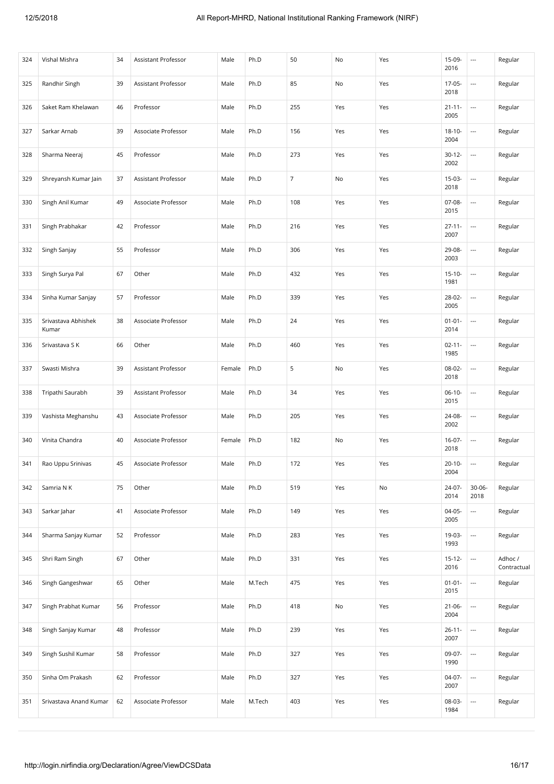| 324 | Vishal Mishra                | 34 | <b>Assistant Professor</b> | Male   | Ph.D   | 50             | No  | Yes | 15-09-<br>2016      | $\hspace{0.05cm} \ldots$ | Regular                |
|-----|------------------------------|----|----------------------------|--------|--------|----------------|-----|-----|---------------------|--------------------------|------------------------|
| 325 | Randhir Singh                | 39 | Assistant Professor        | Male   | Ph.D   | 85             | No  | Yes | $17-05-$<br>2018    | $\overline{\phantom{a}}$ | Regular                |
| 326 | Saket Ram Khelawan           | 46 | Professor                  | Male   | Ph.D   | 255            | Yes | Yes | $21 - 11 -$<br>2005 | $\overline{\phantom{a}}$ | Regular                |
| 327 | Sarkar Arnab                 | 39 | Associate Professor        | Male   | Ph.D   | 156            | Yes | Yes | $18 - 10 -$<br>2004 | $\overline{\phantom{a}}$ | Regular                |
| 328 | Sharma Neeraj                | 45 | Professor                  | Male   | Ph.D   | 273            | Yes | Yes | $30-12-$<br>2002    | $\overline{\phantom{a}}$ | Regular                |
| 329 | Shreyansh Kumar Jain         | 37 | Assistant Professor        | Male   | Ph.D   | $\overline{7}$ | No  | Yes | 15-03-<br>2018      | $\overline{\phantom{a}}$ | Regular                |
| 330 | Singh Anil Kumar             | 49 | Associate Professor        | Male   | Ph.D   | 108            | Yes | Yes | 07-08-<br>2015      | $\overline{\phantom{a}}$ | Regular                |
| 331 | Singh Prabhakar              | 42 | Professor                  | Male   | Ph.D   | 216            | Yes | Yes | $27 - 11 -$<br>2007 | $\overline{\phantom{a}}$ | Regular                |
| 332 | Singh Sanjay                 | 55 | Professor                  | Male   | Ph.D   | 306            | Yes | Yes | 29-08-<br>2003      | $\overline{\phantom{a}}$ | Regular                |
| 333 | Singh Surya Pal              | 67 | Other                      | Male   | Ph.D   | 432            | Yes | Yes | $15 - 10 -$<br>1981 | $\overline{\phantom{a}}$ | Regular                |
| 334 | Sinha Kumar Sanjay           | 57 | Professor                  | Male   | Ph.D   | 339            | Yes | Yes | 28-02-<br>2005      | $\overline{\phantom{a}}$ | Regular                |
| 335 | Srivastava Abhishek<br>Kumar | 38 | Associate Professor        | Male   | Ph.D   | 24             | Yes | Yes | $01 - 01 -$<br>2014 | $\overline{\phantom{a}}$ | Regular                |
| 336 | Srivastava S K               | 66 | Other                      | Male   | Ph.D   | 460            | Yes | Yes | $02 - 11 -$<br>1985 | $\overline{\phantom{a}}$ | Regular                |
| 337 | Swasti Mishra                | 39 | Assistant Professor        | Female | Ph.D   | 5              | No  | Yes | 08-02-<br>2018      | $\overline{\phantom{a}}$ | Regular                |
| 338 | Tripathi Saurabh             | 39 | Assistant Professor        | Male   | Ph.D   | 34             | Yes | Yes | $06-10-$<br>2015    | $\overline{\phantom{a}}$ | Regular                |
| 339 | Vashista Meghanshu           | 43 | Associate Professor        | Male   | Ph.D   | 205            | Yes | Yes | 24-08-<br>2002      | $\overline{\phantom{a}}$ | Regular                |
| 340 | Vinita Chandra               | 40 | Associate Professor        | Female | Ph.D   | 182            | No  | Yes | $16-07-$<br>2018    | $\overline{\phantom{a}}$ | Regular                |
| 341 | Rao Uppu Srinivas            | 45 | Associate Professor        | Male   | Ph.D   | 172            | Yes | Yes | $20 - 10 -$<br>2004 | $\overline{\phantom{a}}$ | Regular                |
| 342 | Samria N K                   | 75 | Other                      | Male   | Ph.D   | 519            | Yes | No  | 24-07-<br>2014      | $30 - 06 -$<br>2018      | Regular                |
| 343 | Sarkar Jahar                 | 41 | Associate Professor        | Male   | Ph.D   | 149            | Yes | Yes | $04-05-$<br>2005    | $\hspace{0.05cm} \ldots$ | Regular                |
| 344 | Sharma Sanjay Kumar          | 52 | Professor                  | Male   | Ph.D   | 283            | Yes | Yes | 19-03-<br>1993      | $\ldots$                 | Regular                |
| 345 | Shri Ram Singh               | 67 | Other                      | Male   | Ph.D   | 331            | Yes | Yes | $15 - 12 -$<br>2016 | $\overline{\phantom{a}}$ | Adhoc /<br>Contractual |
| 346 | Singh Gangeshwar             | 65 | Other                      | Male   | M.Tech | 475            | Yes | Yes | $01 - 01 -$<br>2015 | $\overline{\phantom{a}}$ | Regular                |
| 347 | Singh Prabhat Kumar          | 56 | Professor                  | Male   | Ph.D   | 418            | No  | Yes | $21 - 06 -$<br>2004 | $\overline{\phantom{a}}$ | Regular                |
| 348 | Singh Sanjay Kumar           | 48 | Professor                  | Male   | Ph.D   | 239            | Yes | Yes | $26 - 11 -$<br>2007 | $\overline{\phantom{a}}$ | Regular                |
| 349 | Singh Sushil Kumar           | 58 | Professor                  | Male   | Ph.D   | 327            | Yes | Yes | 09-07-<br>1990      | $\overline{\phantom{a}}$ | Regular                |
| 350 | Sinha Om Prakash             | 62 | Professor                  | Male   | Ph.D   | 327            | Yes | Yes | 04-07-<br>2007      | $\overline{\phantom{a}}$ | Regular                |
| 351 | Srivastava Anand Kumar       | 62 | Associate Professor        | Male   | M.Tech | 403            | Yes | Yes | 08-03-<br>1984      | $\overline{\phantom{a}}$ | Regular                |